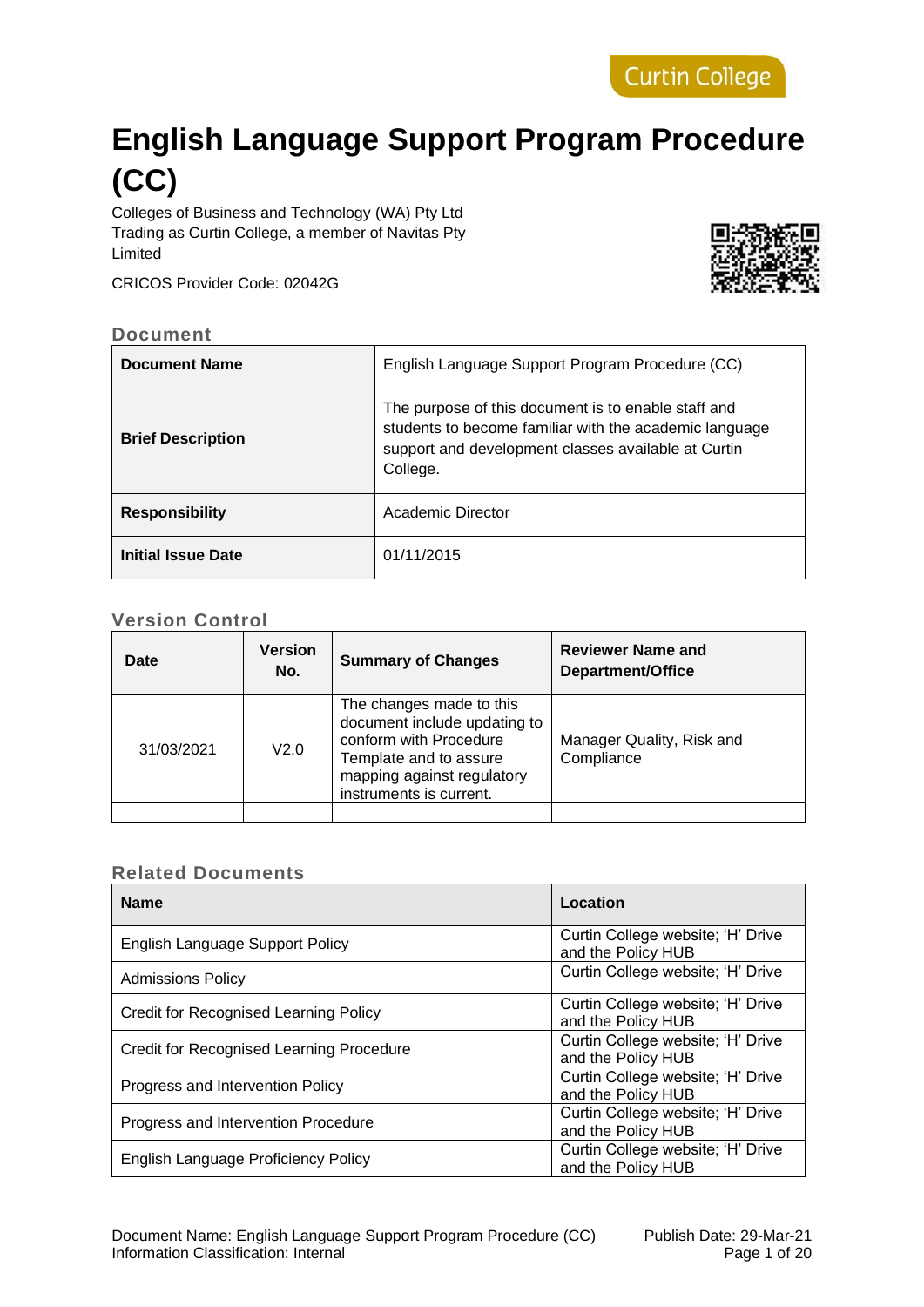# **English Language Support Program Procedure (CC)**

Colleges of Business and Technology (WA) Pty Ltd Trading as Curtin College, a member of Navitas Pty Limited

CRICOS Provider Code: 02042G



#### **Document**

| <b>Document Name</b>     | English Language Support Program Procedure (CC)                                                                                                                                  |
|--------------------------|----------------------------------------------------------------------------------------------------------------------------------------------------------------------------------|
| <b>Brief Description</b> | The purpose of this document is to enable staff and<br>students to become familiar with the academic language<br>support and development classes available at Curtin<br>College. |
| <b>Responsibility</b>    | Academic Director                                                                                                                                                                |
| Initial Issue Date       | 01/11/2015                                                                                                                                                                       |

#### **Version Control**

| Date               | <b>Version</b><br>No. | <b>Summary of Changes</b>                                                                                                                                             | <b>Reviewer Name and</b><br>Department/Office |
|--------------------|-----------------------|-----------------------------------------------------------------------------------------------------------------------------------------------------------------------|-----------------------------------------------|
| V2.0<br>31/03/2021 |                       | The changes made to this<br>document include updating to<br>conform with Procedure<br>Template and to assure<br>mapping against regulatory<br>instruments is current. | Manager Quality, Risk and<br>Compliance       |
|                    |                       |                                                                                                                                                                       |                                               |

# **Related Documents**

| <b>Name</b>                                     | Location                                                |
|-------------------------------------------------|---------------------------------------------------------|
| <b>English Language Support Policy</b>          | Curtin College website; 'H' Drive<br>and the Policy HUB |
| <b>Admissions Policy</b>                        | Curtin College website; 'H' Drive                       |
| Credit for Recognised Learning Policy           | Curtin College website; 'H' Drive<br>and the Policy HUB |
| <b>Credit for Recognised Learning Procedure</b> | Curtin College website; 'H' Drive<br>and the Policy HUB |
| Progress and Intervention Policy                | Curtin College website; 'H' Drive<br>and the Policy HUB |
| Progress and Intervention Procedure             | Curtin College website; 'H' Drive<br>and the Policy HUB |
| English Language Proficiency Policy             | Curtin College website; 'H' Drive<br>and the Policy HUB |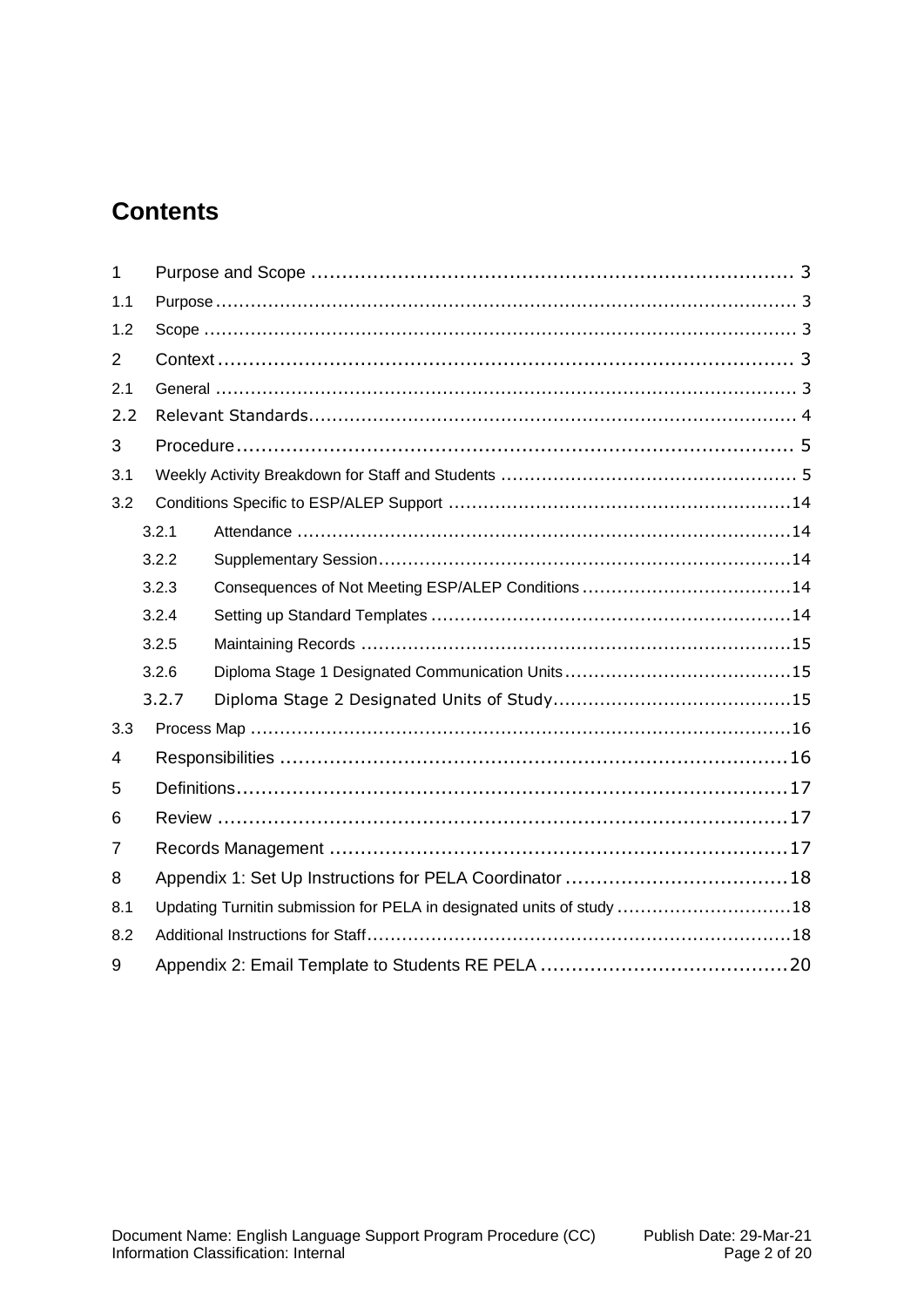# **Contents**

| $\mathbf{1}$   |                                                             |                                                                       |  |  |  |  |  |  |
|----------------|-------------------------------------------------------------|-----------------------------------------------------------------------|--|--|--|--|--|--|
| 1.1            |                                                             |                                                                       |  |  |  |  |  |  |
| 1.2            |                                                             |                                                                       |  |  |  |  |  |  |
| $\overline{2}$ |                                                             |                                                                       |  |  |  |  |  |  |
| 2.1            |                                                             |                                                                       |  |  |  |  |  |  |
| 2.2            |                                                             |                                                                       |  |  |  |  |  |  |
| 3              |                                                             |                                                                       |  |  |  |  |  |  |
| 3.1            |                                                             |                                                                       |  |  |  |  |  |  |
| 3.2            |                                                             |                                                                       |  |  |  |  |  |  |
| 3.2.1          |                                                             |                                                                       |  |  |  |  |  |  |
|                | 3.2.2                                                       |                                                                       |  |  |  |  |  |  |
|                | Consequences of Not Meeting ESP/ALEP Conditions 14<br>3.2.3 |                                                                       |  |  |  |  |  |  |
|                |                                                             | 3.2.4                                                                 |  |  |  |  |  |  |
|                |                                                             | 3.2.5                                                                 |  |  |  |  |  |  |
|                |                                                             | 3.2.6                                                                 |  |  |  |  |  |  |
|                |                                                             | 3.2.7                                                                 |  |  |  |  |  |  |
| 3.3            |                                                             |                                                                       |  |  |  |  |  |  |
| 4              |                                                             |                                                                       |  |  |  |  |  |  |
| 5              |                                                             |                                                                       |  |  |  |  |  |  |
| 6              |                                                             |                                                                       |  |  |  |  |  |  |
| 7              |                                                             |                                                                       |  |  |  |  |  |  |
| 8              |                                                             |                                                                       |  |  |  |  |  |  |
| 8.1            |                                                             | Updating Turnitin submission for PELA in designated units of study 18 |  |  |  |  |  |  |
| 8.2            |                                                             |                                                                       |  |  |  |  |  |  |
| 9              |                                                             |                                                                       |  |  |  |  |  |  |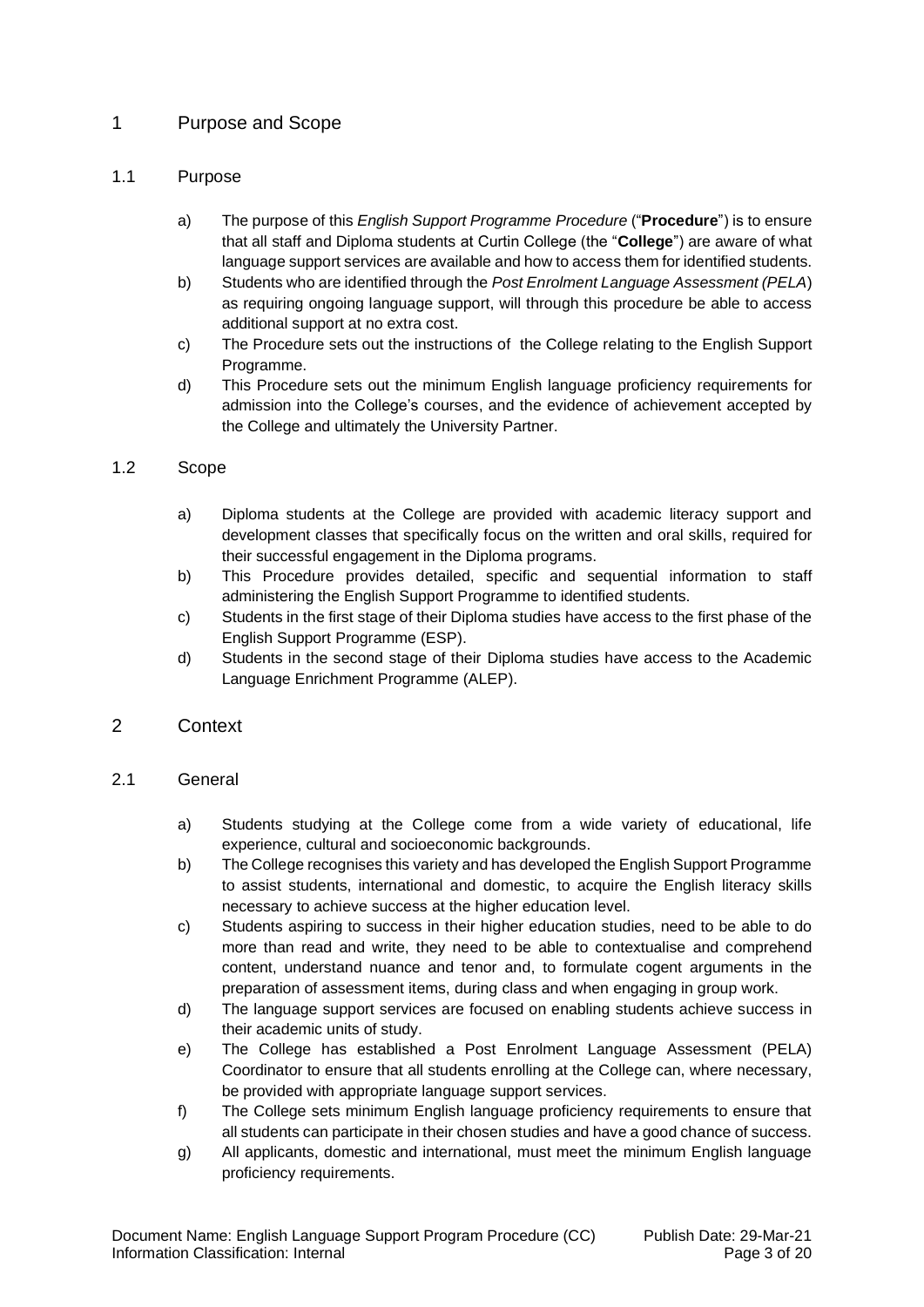# <span id="page-2-0"></span>1 Purpose and Scope

#### <span id="page-2-1"></span>1.1 Purpose

- a) The purpose of this *English Support Programme Procedure* ("**Procedure**") is to ensure that all staff and Diploma students at Curtin College (the "**College**") are aware of what language support services are available and how to access them for identified students.
- b) Students who are identified through the *Post Enrolment Language Assessment (PELA*) as requiring ongoing language support, will through this procedure be able to access additional support at no extra cost.
- c) The Procedure sets out the instructions of the College relating to the English Support Programme.
- d) This Procedure sets out the minimum English language proficiency requirements for admission into the College's courses, and the evidence of achievement accepted by the College and ultimately the University Partner.

#### <span id="page-2-2"></span>1.2 Scope

- a) Diploma students at the College are provided with academic literacy support and development classes that specifically focus on the written and oral skills, required for their successful engagement in the Diploma programs.
- b) This Procedure provides detailed, specific and sequential information to staff administering the English Support Programme to identified students.
- c) Students in the first stage of their Diploma studies have access to the first phase of the English Support Programme (ESP).
- d) Students in the second stage of their Diploma studies have access to the Academic Language Enrichment Programme (ALEP).

#### <span id="page-2-3"></span>2 Context

#### <span id="page-2-4"></span>2.1 General

- a) Students studying at the College come from a wide variety of educational, life experience, cultural and socioeconomic backgrounds.
- b) The College recognises this variety and has developed the English Support Programme to assist students, international and domestic, to acquire the English literacy skills necessary to achieve success at the higher education level.
- c) Students aspiring to success in their higher education studies, need to be able to do more than read and write, they need to be able to contextualise and comprehend content, understand nuance and tenor and, to formulate cogent arguments in the preparation of assessment items, during class and when engaging in group work.
- d) The language support services are focused on enabling students achieve success in their academic units of study.
- e) The College has established a Post Enrolment Language Assessment (PELA) Coordinator to ensure that all students enrolling at the College can, where necessary, be provided with appropriate language support services.
- f) The College sets minimum English language proficiency requirements to ensure that all students can participate in their chosen studies and have a good chance of success.
- g) All applicants, domestic and international, must meet the minimum English language proficiency requirements.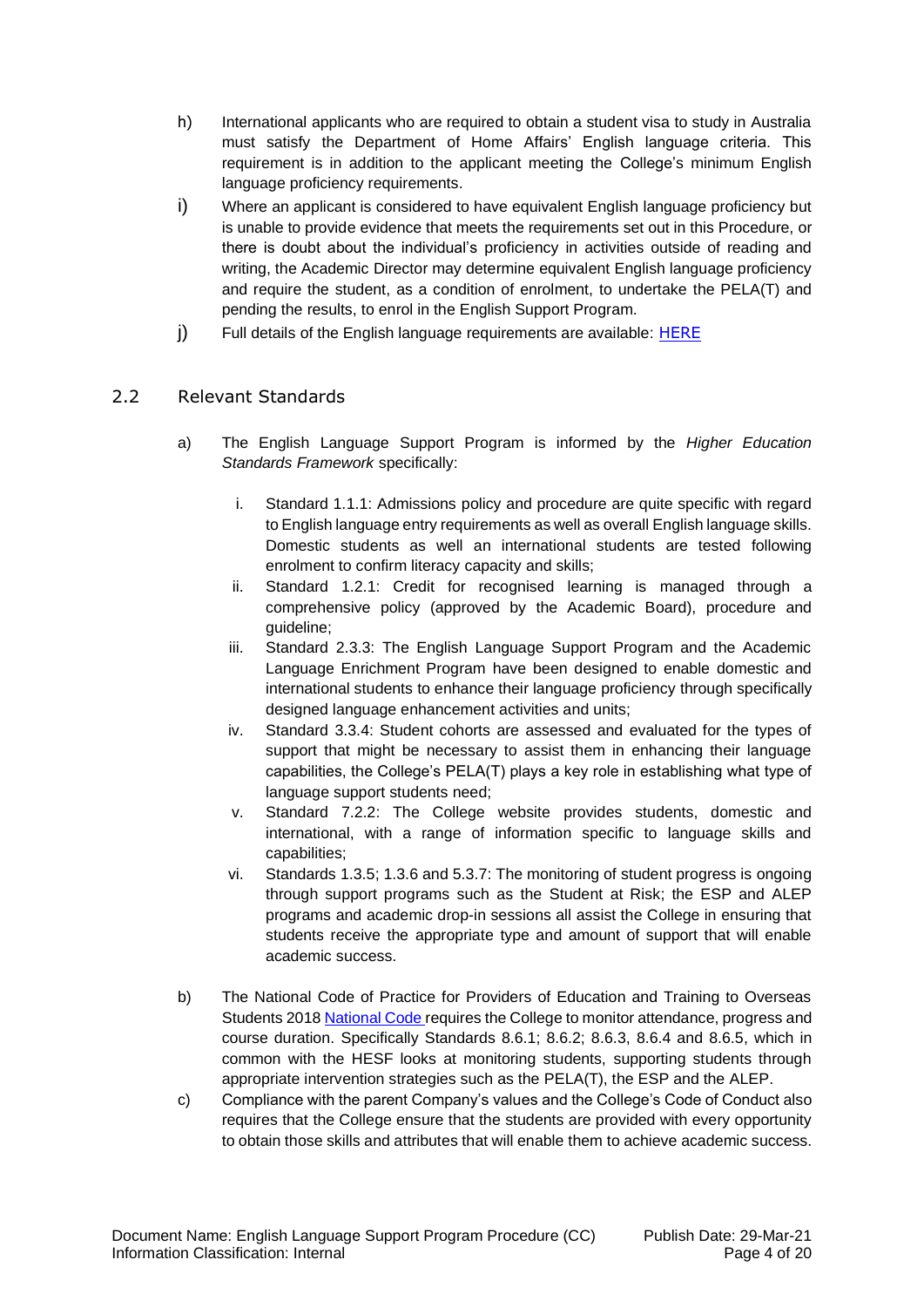- h) International applicants who are required to obtain a student visa to study in Australia must satisfy the Department of Home Affairs' English language criteria. This requirement is in addition to the applicant meeting the College's minimum English language proficiency requirements.
- i) Where an applicant is considered to have equivalent English language proficiency but is unable to provide evidence that meets the requirements set out in this Procedure, or there is doubt about the individual's proficiency in activities outside of reading and writing, the Academic Director may determine equivalent English language proficiency and require the student, as a condition of enrolment, to undertake the PELA(T) and pending the results, to enrol in the English Support Program.
- j) Full details of the English language requirements are available: [HERE](https://www.curtincollege.edu.au/how-to-apply/entry-requirements/#english)

# <span id="page-3-0"></span>2.2 Relevant Standards

- a) The English Language Support Program is informed by the *Higher Education Standards Framework* specifically:
	- i. Standard 1.1.1: Admissions policy and procedure are quite specific with regard to English language entry requirements as well as overall English language skills. Domestic students as well an international students are tested following enrolment to confirm literacy capacity and skills;
	- ii. Standard 1.2.1: Credit for recognised learning is managed through a comprehensive policy (approved by the Academic Board), procedure and guideline;
	- iii. Standard 2.3.3: The English Language Support Program and the Academic Language Enrichment Program have been designed to enable domestic and international students to enhance their language proficiency through specifically designed language enhancement activities and units;
	- iv. Standard 3.3.4: Student cohorts are assessed and evaluated for the types of support that might be necessary to assist them in enhancing their language capabilities, the College's PELA(T) plays a key role in establishing what type of language support students need;
	- v. Standard 7.2.2: The College website provides students, domestic and international, with a range of information specific to language skills and capabilities;
	- vi. Standards 1.3.5; 1.3.6 and 5.3.7: The monitoring of student progress is ongoing through support programs such as the Student at Risk; the ESP and ALEP programs and academic drop-in sessions all assist the College in ensuring that students receive the appropriate type and amount of support that will enable academic success.
- b) The National Code of Practice for Providers of Education and Training to Overseas Students 2018 [National Code r](https://www.legislation.gov.au/Details/F2017L01182/Html/Text#_Toc487026957)equires the College to monitor attendance, progress and course duration. Specifically Standards 8.6.1; 8.6.2; 8.6.3, 8.6.4 and 8.6.5, which in common with the HESF looks at monitoring students, supporting students through appropriate intervention strategies such as the PELA(T), the ESP and the ALEP.
- c) Compliance with the parent Company's values and the College's Code of Conduct also requires that the College ensure that the students are provided with every opportunity to obtain those skills and attributes that will enable them to achieve academic success.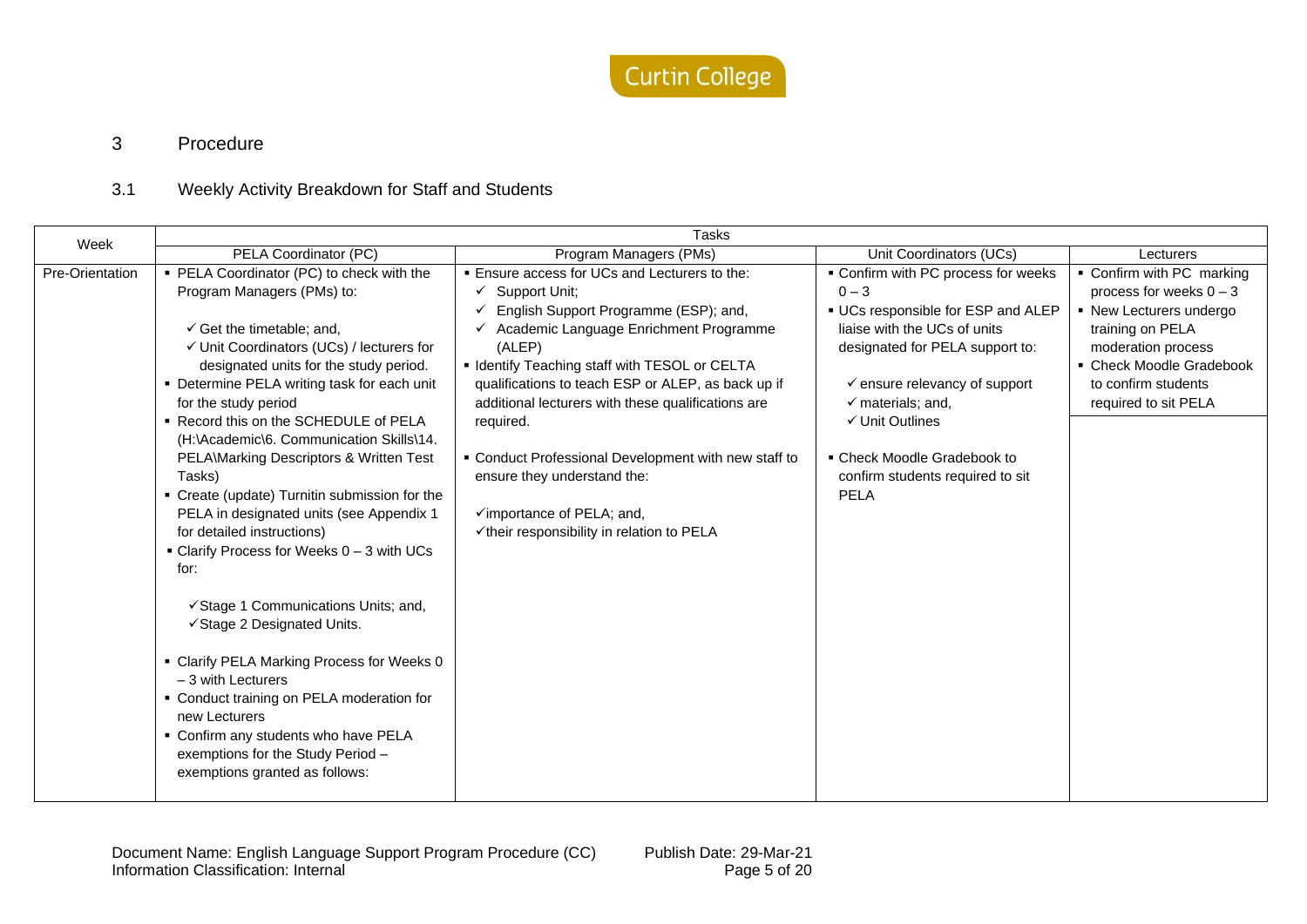

# 3 Procedure

# 3.1 Weekly Activity Breakdown for Staff and Students

<span id="page-4-1"></span><span id="page-4-0"></span>

| Week            | <b>Tasks</b>                                                                                                                                                                                                                                                                                                                                                                                                                                                                                                                                                                                                                                                                                                                                                                                                                                                                                                                                 |                                                                                                                                                                                                                                                                                                                                                                                                                                                                                                             |                                                                                                                                                                                                                                                                                                                                                     |                                                                                                                                                                                                        |  |  |
|-----------------|----------------------------------------------------------------------------------------------------------------------------------------------------------------------------------------------------------------------------------------------------------------------------------------------------------------------------------------------------------------------------------------------------------------------------------------------------------------------------------------------------------------------------------------------------------------------------------------------------------------------------------------------------------------------------------------------------------------------------------------------------------------------------------------------------------------------------------------------------------------------------------------------------------------------------------------------|-------------------------------------------------------------------------------------------------------------------------------------------------------------------------------------------------------------------------------------------------------------------------------------------------------------------------------------------------------------------------------------------------------------------------------------------------------------------------------------------------------------|-----------------------------------------------------------------------------------------------------------------------------------------------------------------------------------------------------------------------------------------------------------------------------------------------------------------------------------------------------|--------------------------------------------------------------------------------------------------------------------------------------------------------------------------------------------------------|--|--|
|                 | PELA Coordinator (PC)                                                                                                                                                                                                                                                                                                                                                                                                                                                                                                                                                                                                                                                                                                                                                                                                                                                                                                                        | Program Managers (PMs)                                                                                                                                                                                                                                                                                                                                                                                                                                                                                      | Unit Coordinators (UCs)                                                                                                                                                                                                                                                                                                                             | Lecturers                                                                                                                                                                                              |  |  |
| Pre-Orientation | • PELA Coordinator (PC) to check with the<br>Program Managers (PMs) to:<br>$\checkmark$ Get the timetable; and,<br>√ Unit Coordinators (UCs) / lecturers for<br>designated units for the study period.<br>• Determine PELA writing task for each unit<br>for the study period<br>• Record this on the SCHEDULE of PELA<br>(H:\Academic\6. Communication Skills\14.<br>PELA\Marking Descriptors & Written Test<br>Tasks)<br>• Create (update) Turnitin submission for the<br>PELA in designated units (see Appendix 1<br>for detailed instructions)<br>$\blacksquare$ Clarify Process for Weeks $0-3$ with UCs<br>for:<br>√Stage 1 Communications Units; and,<br>√Stage 2 Designated Units.<br>• Clarify PELA Marking Process for Weeks 0<br>$-3$ with Lecturers<br>• Conduct training on PELA moderation for<br>new Lecturers<br>• Confirm any students who have PELA<br>exemptions for the Study Period -<br>exemptions granted as follows: | . Ensure access for UCs and Lecturers to the:<br>Support Unit:<br>✓<br>English Support Programme (ESP); and,<br>Academic Language Enrichment Programme<br>(ALEP)<br>• Identify Teaching staff with TESOL or CELTA<br>qualifications to teach ESP or ALEP, as back up if<br>additional lecturers with these qualifications are<br>required.<br>• Conduct Professional Development with new staff to<br>ensure they understand the:<br>√importance of PELA; and,<br>√their responsibility in relation to PELA | • Confirm with PC process for weeks<br>$0 - 3$<br>• UCs responsible for ESP and ALEP<br>liaise with the UCs of units<br>designated for PELA support to:<br>$\checkmark$ ensure relevancy of support<br>$\checkmark$ materials; and,<br>$\checkmark$ Unit Outlines<br>• Check Moodle Gradebook to<br>confirm students required to sit<br><b>PELA</b> | • Confirm with PC marking<br>process for weeks $0 - 3$<br>• New Lecturers undergo<br>training on PELA<br>moderation process<br>• Check Moodle Gradebook<br>to confirm students<br>required to sit PELA |  |  |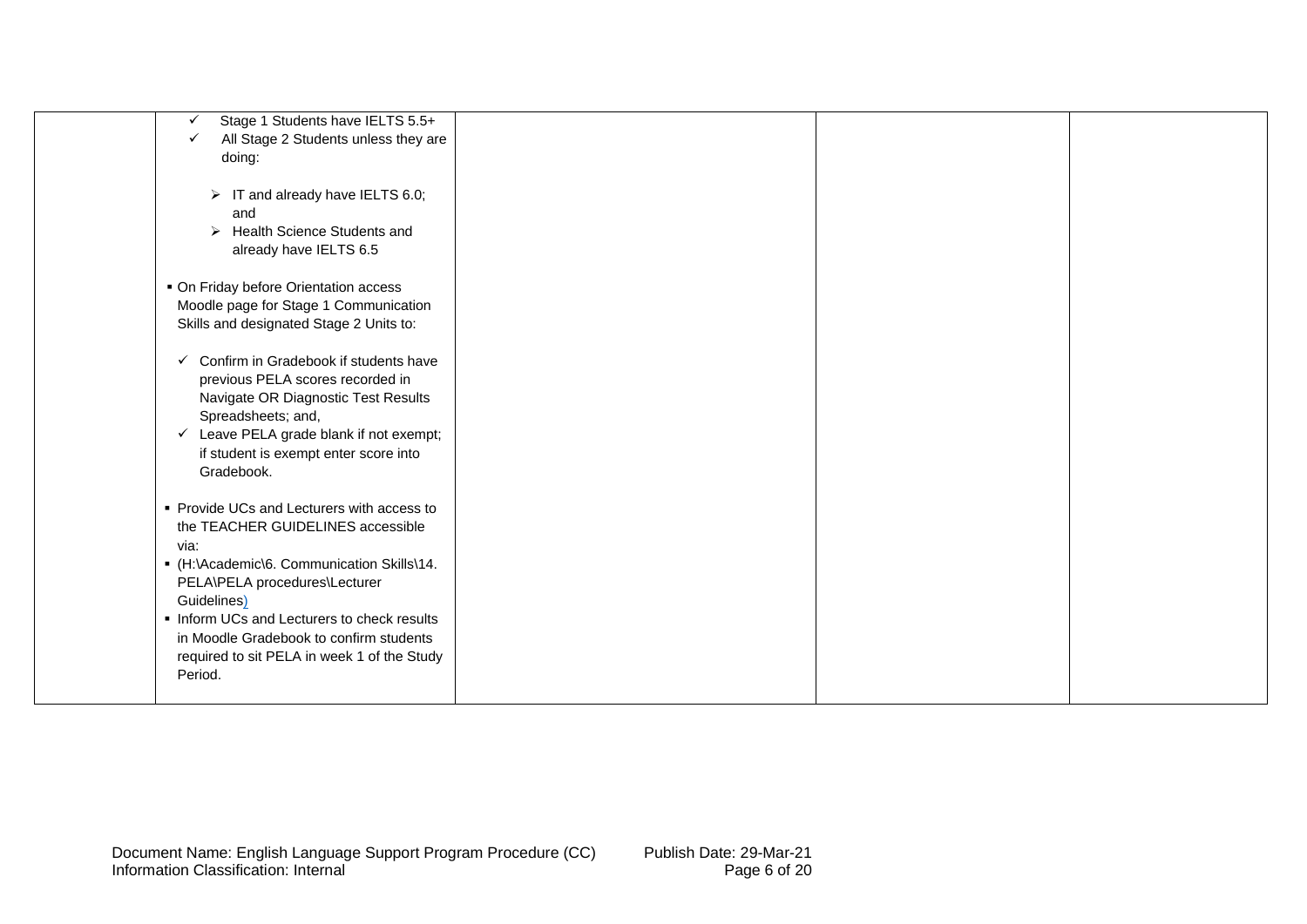| Stage 1 Students have IELTS 5.5+<br>$\checkmark$     |  |  |
|------------------------------------------------------|--|--|
| All Stage 2 Students unless they are<br>$\checkmark$ |  |  |
|                                                      |  |  |
| doing:                                               |  |  |
|                                                      |  |  |
| $\triangleright$ IT and already have IELTS 6.0;      |  |  |
| and                                                  |  |  |
| > Health Science Students and                        |  |  |
| already have IELTS 6.5                               |  |  |
|                                                      |  |  |
| • On Friday before Orientation access                |  |  |
|                                                      |  |  |
| Moodle page for Stage 1 Communication                |  |  |
| Skills and designated Stage 2 Units to:              |  |  |
|                                                      |  |  |
| $\checkmark$ Confirm in Gradebook if students have   |  |  |
| previous PELA scores recorded in                     |  |  |
| Navigate OR Diagnostic Test Results                  |  |  |
| Spreadsheets; and,                                   |  |  |
| $\checkmark$ Leave PELA grade blank if not exempt;   |  |  |
|                                                      |  |  |
| if student is exempt enter score into                |  |  |
| Gradebook.                                           |  |  |
|                                                      |  |  |
| • Provide UCs and Lecturers with access to           |  |  |
| the TEACHER GUIDELINES accessible                    |  |  |
| via:                                                 |  |  |
| • (H:\Academic\6. Communication Skills\14.           |  |  |
| PELA\PELA procedures\Lecturer                        |  |  |
|                                                      |  |  |
| Guidelines)                                          |  |  |
| . Inform UCs and Lecturers to check results          |  |  |
| in Moodle Gradebook to confirm students              |  |  |
| required to sit PELA in week 1 of the Study          |  |  |
| Period.                                              |  |  |
|                                                      |  |  |
|                                                      |  |  |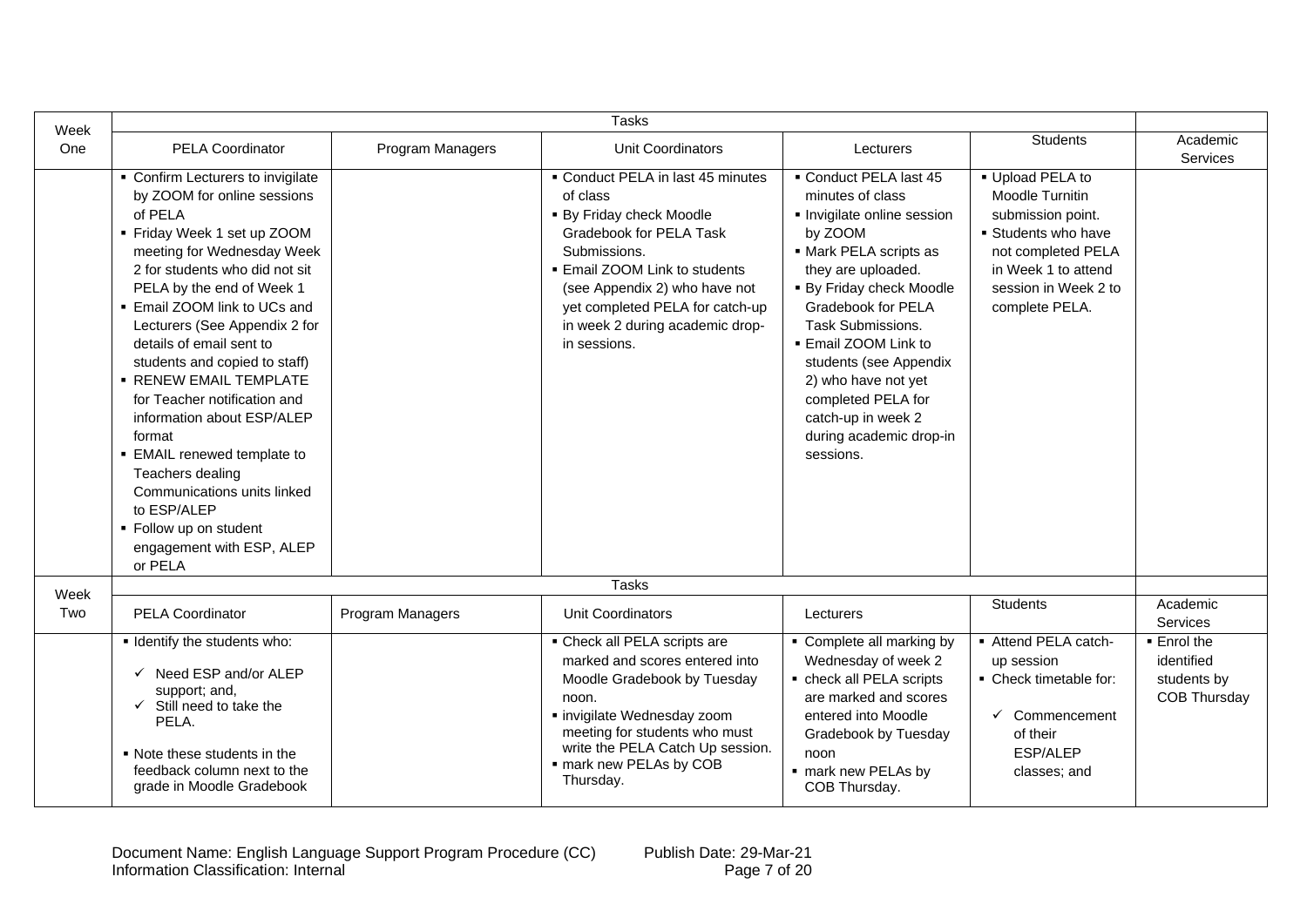| Week | <b>Tasks</b>                                                                                                                                                                                                                                                                                                                                                                                                                                                                                                                                                                                                      |                  |                                                                                                                                                                                                                                                                              |                                                                                                                                                                                                                                                                                                                                                                               |                                                                                                                                                                      |                                                                 |
|------|-------------------------------------------------------------------------------------------------------------------------------------------------------------------------------------------------------------------------------------------------------------------------------------------------------------------------------------------------------------------------------------------------------------------------------------------------------------------------------------------------------------------------------------------------------------------------------------------------------------------|------------------|------------------------------------------------------------------------------------------------------------------------------------------------------------------------------------------------------------------------------------------------------------------------------|-------------------------------------------------------------------------------------------------------------------------------------------------------------------------------------------------------------------------------------------------------------------------------------------------------------------------------------------------------------------------------|----------------------------------------------------------------------------------------------------------------------------------------------------------------------|-----------------------------------------------------------------|
| One  | <b>PELA Coordinator</b>                                                                                                                                                                                                                                                                                                                                                                                                                                                                                                                                                                                           | Program Managers | Unit Coordinators                                                                                                                                                                                                                                                            | Lecturers                                                                                                                                                                                                                                                                                                                                                                     | <b>Students</b>                                                                                                                                                      | Academic<br>Services                                            |
|      | • Confirm Lecturers to invigilate<br>by ZOOM for online sessions<br>of PELA<br>• Friday Week 1 set up ZOOM<br>meeting for Wednesday Week<br>2 for students who did not sit<br>PELA by the end of Week 1<br>■ Email ZOOM link to UCs and<br>Lecturers (See Appendix 2 for<br>details of email sent to<br>students and copied to staff)<br><b>• RENEW EMAIL TEMPLATE</b><br>for Teacher notification and<br>information about ESP/ALEP<br>format<br>• EMAIL renewed template to<br>Teachers dealing<br>Communications units linked<br>to ESP/ALEP<br>• Follow up on student<br>engagement with ESP, ALEP<br>or PELA |                  | • Conduct PELA in last 45 minutes<br>of class<br>• By Friday check Moodle<br>Gradebook for PELA Task<br>Submissions.<br>■ Email ZOOM Link to students<br>(see Appendix 2) who have not<br>yet completed PELA for catch-up<br>in week 2 during academic drop-<br>in sessions. | • Conduct PELA last 45<br>minutes of class<br>Invigilate online session<br>by ZOOM<br>• Mark PELA scripts as<br>they are uploaded.<br>• By Friday check Moodle<br><b>Gradebook for PELA</b><br>Task Submissions.<br>. Email ZOOM Link to<br>students (see Appendix<br>2) who have not yet<br>completed PELA for<br>catch-up in week 2<br>during academic drop-in<br>sessions. | • Upload PELA to<br>Moodle Turnitin<br>submission point.<br>Students who have<br>not completed PELA<br>in Week 1 to attend<br>session in Week 2 to<br>complete PELA. |                                                                 |
| Week |                                                                                                                                                                                                                                                                                                                                                                                                                                                                                                                                                                                                                   |                  | <b>Tasks</b>                                                                                                                                                                                                                                                                 |                                                                                                                                                                                                                                                                                                                                                                               |                                                                                                                                                                      |                                                                 |
| Two  | <b>PELA Coordinator</b>                                                                                                                                                                                                                                                                                                                                                                                                                                                                                                                                                                                           | Program Managers | Unit Coordinators                                                                                                                                                                                                                                                            | Lecturers                                                                                                                                                                                                                                                                                                                                                                     | <b>Students</b>                                                                                                                                                      | Academic<br><b>Services</b>                                     |
|      | I Identify the students who:<br>$\checkmark$ Need ESP and/or ALEP<br>support; and,<br>Still need to take the<br>$\checkmark$<br>PELA.<br>• Note these students in the<br>feedback column next to the<br>grade in Moodle Gradebook                                                                                                                                                                                                                                                                                                                                                                                 |                  | • Check all PELA scripts are<br>marked and scores entered into<br>Moodle Gradebook by Tuesday<br>noon.<br>· invigilate Wednesday zoom<br>meeting for students who must<br>write the PELA Catch Up session.<br>· mark new PELAs by COB<br>Thursday.                           | • Complete all marking by<br>Wednesday of week 2<br>• check all PELA scripts<br>are marked and scores<br>entered into Moodle<br>Gradebook by Tuesday<br>noon<br>· mark new PELAs by<br>COB Thursday.                                                                                                                                                                          | - Attend PELA catch-<br>up session<br>• Check timetable for:<br>$\checkmark$ Commencement<br>of their<br>ESP/ALEP<br>classes; and                                    | ■ Enrol the<br>identified<br>students by<br><b>COB Thursday</b> |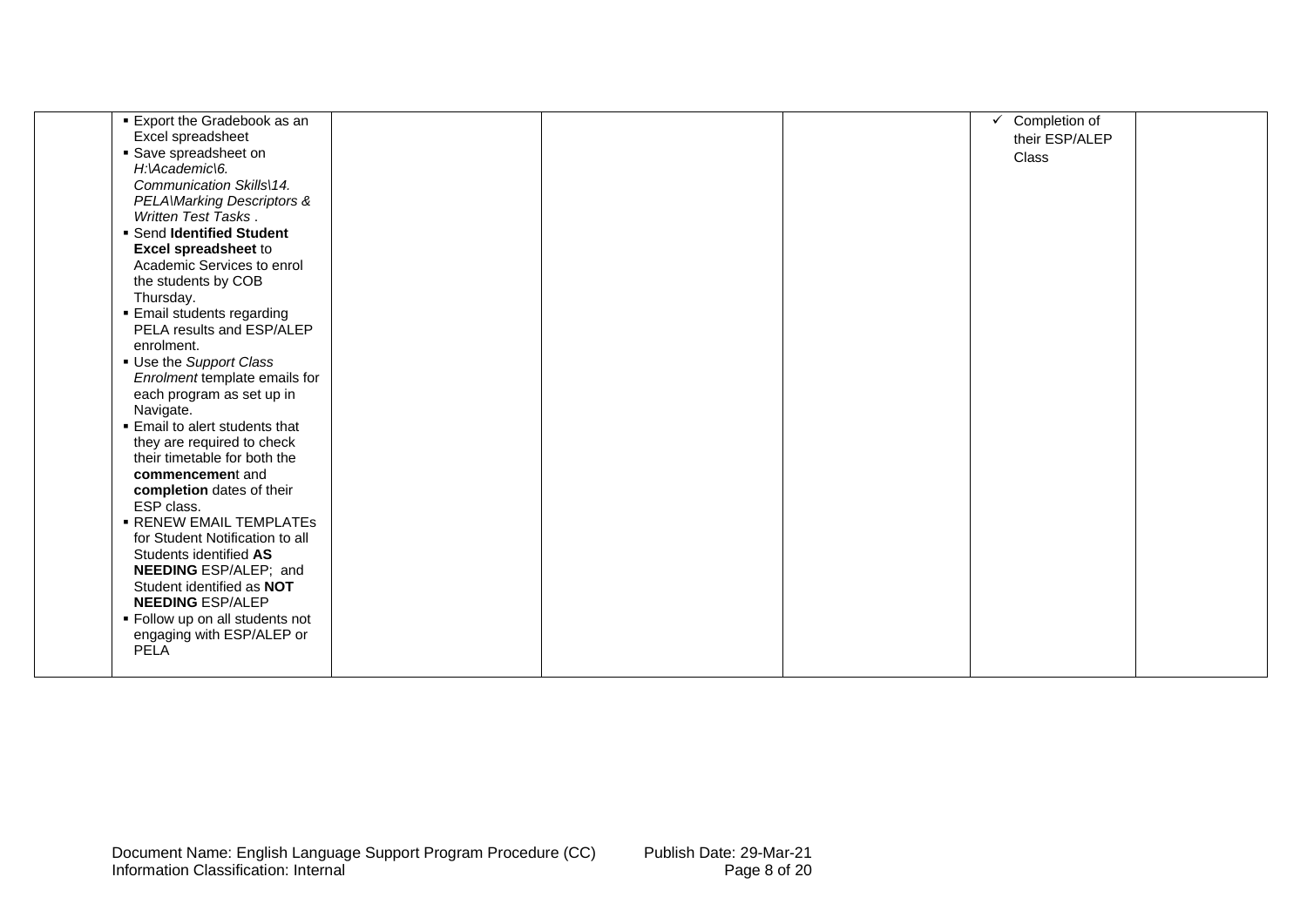| ■ Export the Gradebook as an         |  | $\checkmark$ Completion of |  |
|--------------------------------------|--|----------------------------|--|
| Excel spreadsheet                    |  | their ESP/ALEP             |  |
| • Save spreadsheet on                |  | Class                      |  |
| H:\Academic\6.                       |  |                            |  |
| Communication Skills\14.             |  |                            |  |
| <b>PELAWarking Descriptors &amp;</b> |  |                            |  |
| Written Test Tasks.                  |  |                            |  |
| • Send Identified Student            |  |                            |  |
| <b>Excel spreadsheet to</b>          |  |                            |  |
| Academic Services to enrol           |  |                            |  |
| the students by COB                  |  |                            |  |
| Thursday.                            |  |                            |  |
| <b>Email students regarding</b>      |  |                            |  |
| PELA results and ESP/ALEP            |  |                            |  |
| enrolment.                           |  |                            |  |
| Use the Support Class                |  |                            |  |
| Enrolment template emails for        |  |                            |  |
| each program as set up in            |  |                            |  |
| Navigate.                            |  |                            |  |
| ■ Email to alert students that       |  |                            |  |
| they are required to check           |  |                            |  |
| their timetable for both the         |  |                            |  |
| commencement and                     |  |                            |  |
| completion dates of their            |  |                            |  |
| ESP class.                           |  |                            |  |
| <b>- RENEW EMAIL TEMPLATES</b>       |  |                            |  |
| for Student Notification to all      |  |                            |  |
| Students identified AS               |  |                            |  |
| NEEDING ESP/ALEP; and                |  |                            |  |
| Student identified as NOT            |  |                            |  |
| <b>NEEDING ESP/ALEP</b>              |  |                            |  |
| • Follow up on all students not      |  |                            |  |
| engaging with ESP/ALEP or            |  |                            |  |
| <b>PELA</b>                          |  |                            |  |
|                                      |  |                            |  |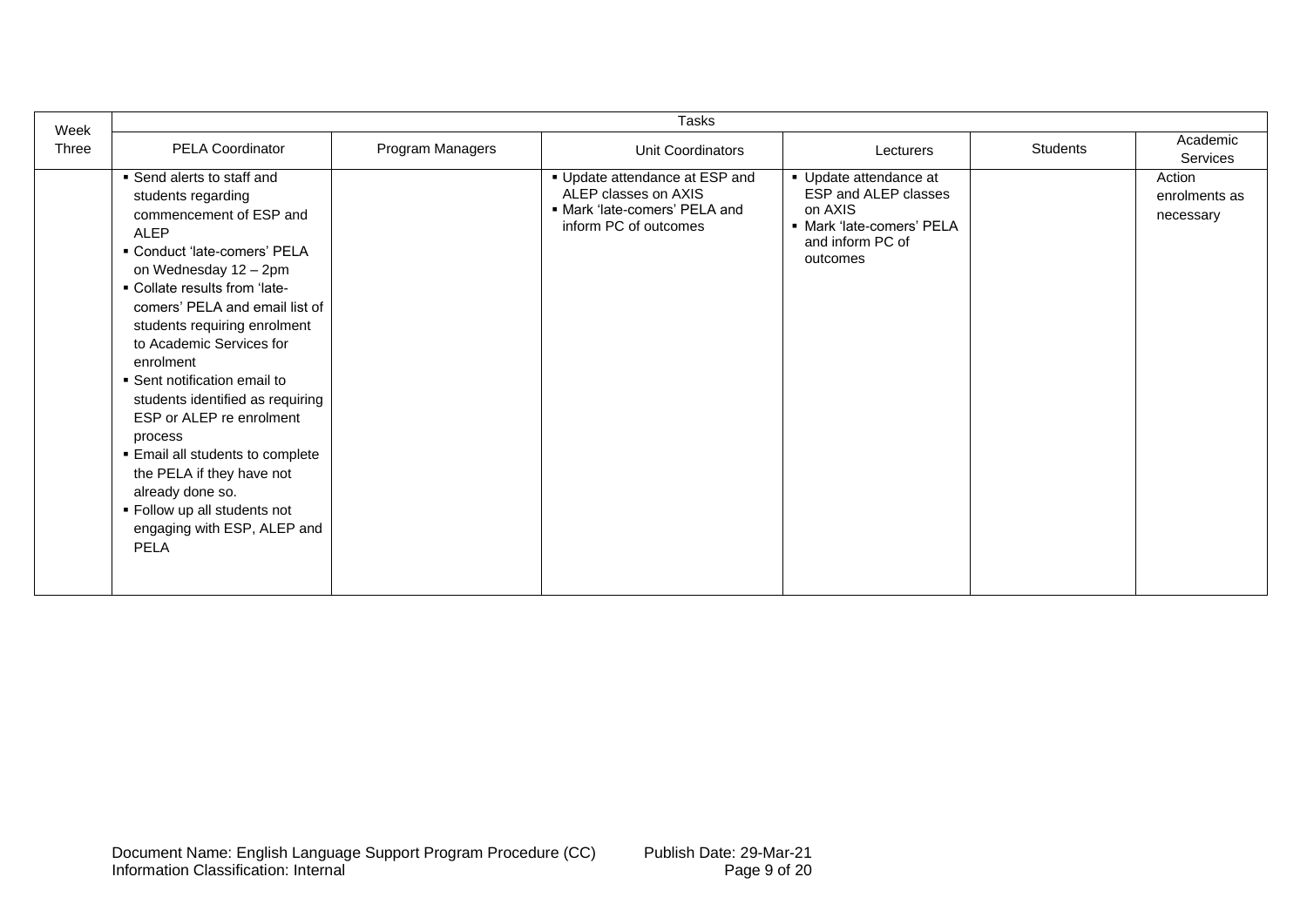| Week  |                                                                                                                                                                                                                                                                                                                                                                                                                                                                                                                                                                             |                  | Tasks                                                                                                            |                                                                                                                        |                 |                                      |
|-------|-----------------------------------------------------------------------------------------------------------------------------------------------------------------------------------------------------------------------------------------------------------------------------------------------------------------------------------------------------------------------------------------------------------------------------------------------------------------------------------------------------------------------------------------------------------------------------|------------------|------------------------------------------------------------------------------------------------------------------|------------------------------------------------------------------------------------------------------------------------|-----------------|--------------------------------------|
| Three | <b>PELA Coordinator</b>                                                                                                                                                                                                                                                                                                                                                                                                                                                                                                                                                     | Program Managers | Unit Coordinators                                                                                                | Lecturers                                                                                                              | <b>Students</b> | Academic<br>Services                 |
|       | ■ Send alerts to staff and<br>students regarding<br>commencement of ESP and<br><b>ALEP</b><br>• Conduct 'late-comers' PELA<br>on Wednesday 12 - 2pm<br>• Collate results from 'late-<br>comers' PELA and email list of<br>students requiring enrolment<br>to Academic Services for<br>enrolment<br>• Sent notification email to<br>students identified as requiring<br>ESP or ALEP re enrolment<br>process<br>Email all students to complete<br>the PELA if they have not<br>already done so.<br>• Follow up all students not<br>engaging with ESP, ALEP and<br><b>PELA</b> |                  | • Update attendance at ESP and<br>ALEP classes on AXIS<br>· Mark 'late-comers' PELA and<br>inform PC of outcomes | • Update attendance at<br>ESP and ALEP classes<br>on AXIS<br>· Mark 'late-comers' PELA<br>and inform PC of<br>outcomes |                 | Action<br>enrolments as<br>necessary |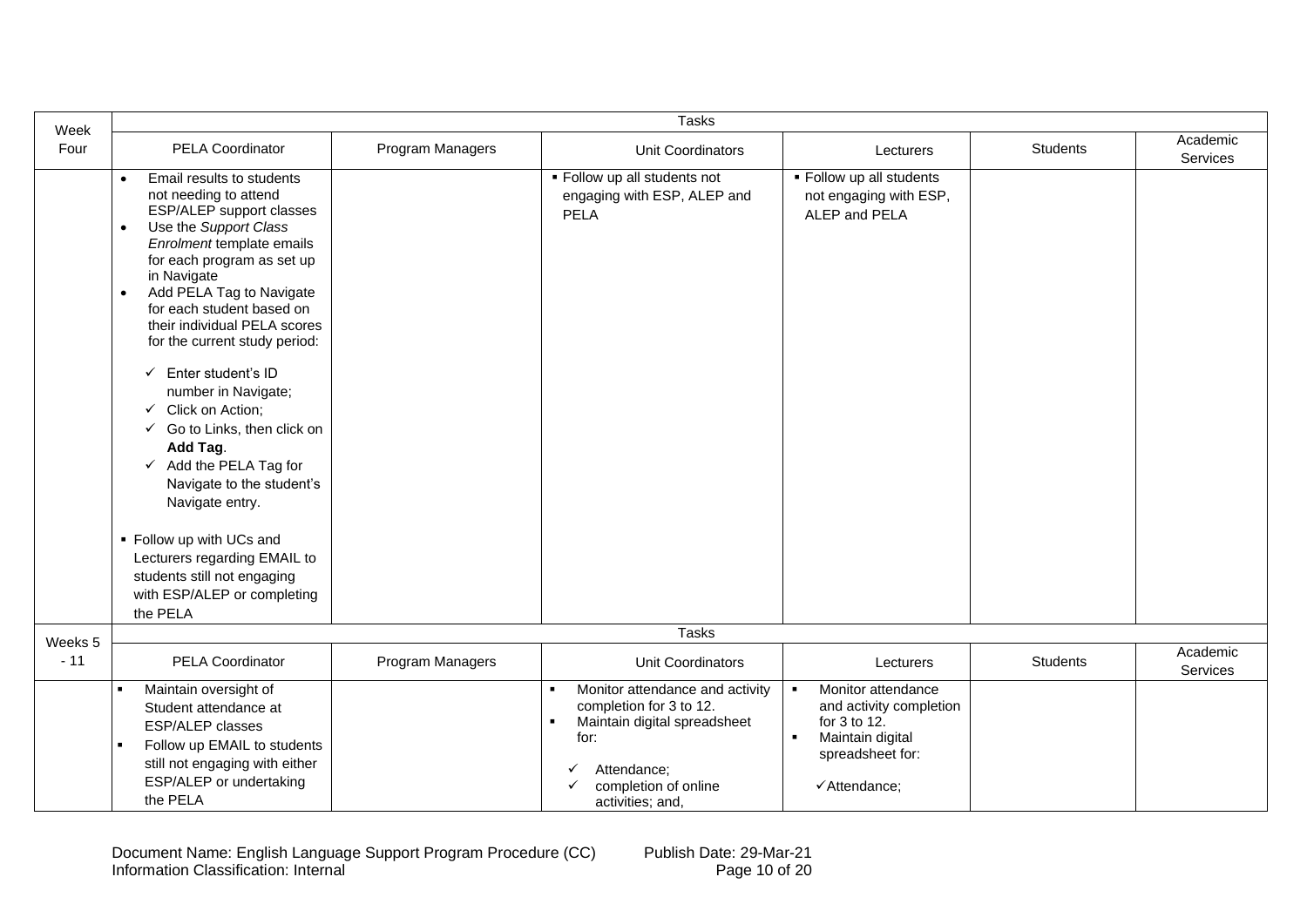| Week    |                                                                                                                                                                                                                                                                                                                                                                                                                                                                                                                                                                                                                                                                                                                        |                  | <b>Tasks</b>                                                                                                                                                                       |                                                                                                                                                           |                 |                      |
|---------|------------------------------------------------------------------------------------------------------------------------------------------------------------------------------------------------------------------------------------------------------------------------------------------------------------------------------------------------------------------------------------------------------------------------------------------------------------------------------------------------------------------------------------------------------------------------------------------------------------------------------------------------------------------------------------------------------------------------|------------------|------------------------------------------------------------------------------------------------------------------------------------------------------------------------------------|-----------------------------------------------------------------------------------------------------------------------------------------------------------|-----------------|----------------------|
| Four    | PELA Coordinator                                                                                                                                                                                                                                                                                                                                                                                                                                                                                                                                                                                                                                                                                                       | Program Managers | Unit Coordinators                                                                                                                                                                  | Lecturers                                                                                                                                                 | Students        | Academic<br>Services |
|         | Email results to students<br>$\bullet$<br>not needing to attend<br>ESP/ALEP support classes<br>Use the Support Class<br>$\bullet$<br>Enrolment template emails<br>for each program as set up<br>in Navigate<br>Add PELA Tag to Navigate<br>$\bullet$<br>for each student based on<br>their individual PELA scores<br>for the current study period:<br>$\checkmark$ Enter student's ID<br>number in Navigate;<br>Click on Action;<br>$\checkmark$<br>$\checkmark$ Go to Links, then click on<br>Add Tag.<br>$\checkmark$ Add the PELA Tag for<br>Navigate to the student's<br>Navigate entry.<br>• Follow up with UCs and<br>Lecturers regarding EMAIL to<br>students still not engaging<br>with ESP/ALEP or completing |                  | . Follow up all students not<br>engaging with ESP, ALEP and<br><b>PELA</b>                                                                                                         | • Follow up all students<br>not engaging with ESP,<br>ALEP and PELA                                                                                       |                 |                      |
|         | the PELA                                                                                                                                                                                                                                                                                                                                                                                                                                                                                                                                                                                                                                                                                                               |                  |                                                                                                                                                                                    |                                                                                                                                                           |                 |                      |
| Weeks 5 |                                                                                                                                                                                                                                                                                                                                                                                                                                                                                                                                                                                                                                                                                                                        |                  | <b>Tasks</b>                                                                                                                                                                       |                                                                                                                                                           |                 |                      |
| $-11$   | <b>PELA Coordinator</b>                                                                                                                                                                                                                                                                                                                                                                                                                                                                                                                                                                                                                                                                                                | Program Managers | Unit Coordinators                                                                                                                                                                  | Lecturers                                                                                                                                                 | <b>Students</b> | Academic<br>Services |
|         | Maintain oversight of<br>Student attendance at<br><b>ESP/ALEP classes</b><br>Follow up EMAIL to students<br>still not engaging with either<br>ESP/ALEP or undertaking<br>the PELA                                                                                                                                                                                                                                                                                                                                                                                                                                                                                                                                      |                  | Monitor attendance and activity<br>completion for 3 to 12.<br>Maintain digital spreadsheet<br>for:<br>Attendance;<br>$\checkmark$<br>completion of online<br>✓<br>activities; and, | Monitor attendance<br>$\blacksquare$<br>and activity completion<br>for 3 to 12.<br>Maintain digital<br>$\blacksquare$<br>spreadsheet for:<br>√Attendance; |                 |                      |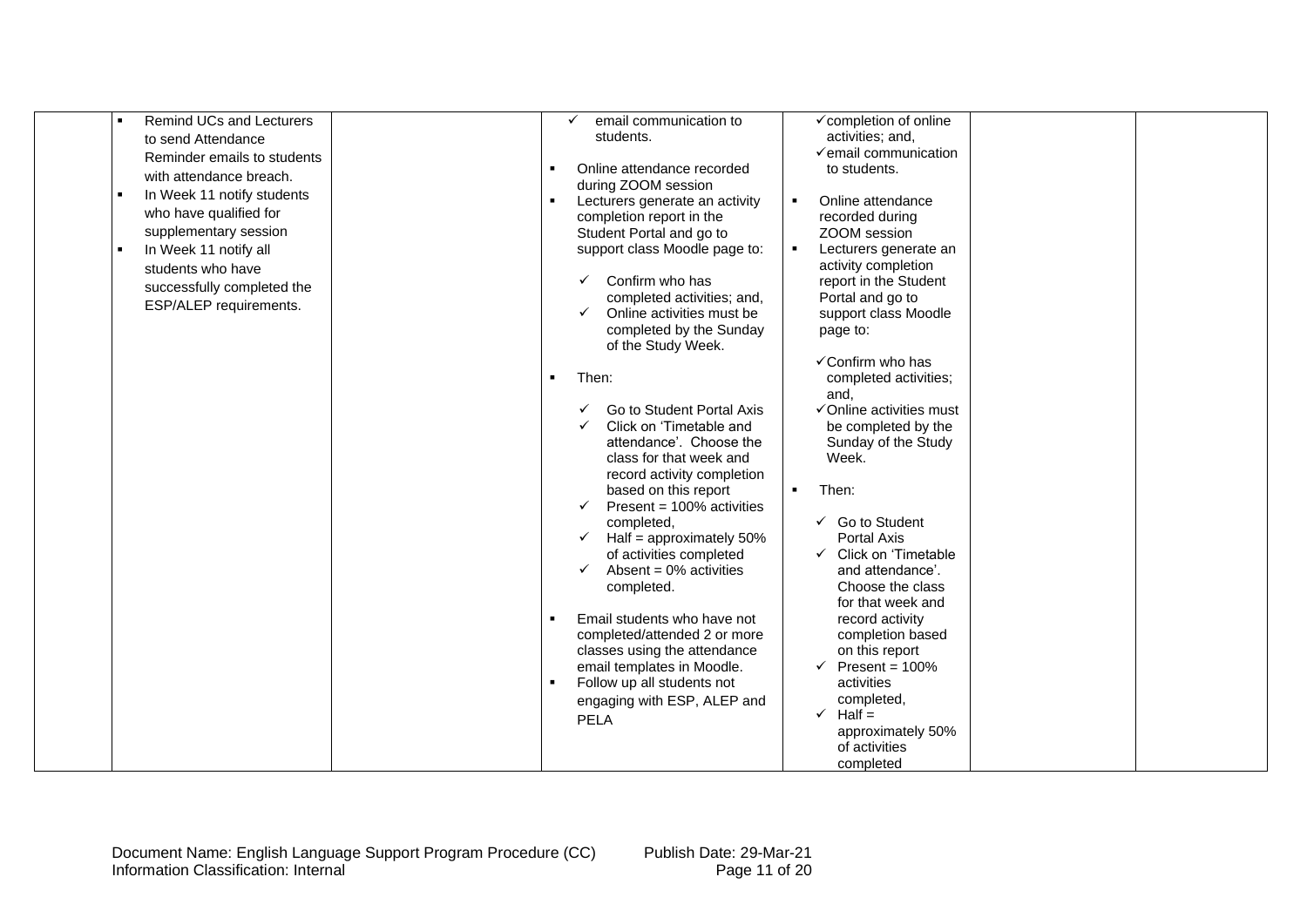| <b>Remind UCs and Lecturers</b><br>$\blacksquare$<br>to send Attendance<br>Reminder emails to students<br>with attendance breach.<br>In Week 11 notify students<br>$\blacksquare$<br>who have qualified for<br>supplementary session<br>In Week 11 notify all | √completion of online<br>email communication to<br>activities; and,<br>students.<br>$\checkmark$ email communication<br>Online attendance recorded<br>to students.<br>during ZOOM session<br>Lecturers generate an activity<br>$\blacksquare$<br>Online attendance<br>completion report in the<br>recorded during<br>Student Portal and go to<br>ZOOM session<br>support class Moodle page to:<br>Lecturers generate an |
|---------------------------------------------------------------------------------------------------------------------------------------------------------------------------------------------------------------------------------------------------------------|-------------------------------------------------------------------------------------------------------------------------------------------------------------------------------------------------------------------------------------------------------------------------------------------------------------------------------------------------------------------------------------------------------------------------|
| students who have<br>successfully completed the<br>ESP/ALEP requirements.                                                                                                                                                                                     | activity completion<br>Confirm who has<br>report in the Student<br>$\checkmark$<br>Portal and go to<br>completed activities; and,<br>Online activities must be<br>support class Moodle<br>completed by the Sunday<br>page to:<br>of the Study Week.<br>√Confirm who has<br>Then:<br>completed activities;<br>$\blacksquare$                                                                                             |
|                                                                                                                                                                                                                                                               | and,<br>Go to Student Portal Axis<br>√Online activities must<br>Click on 'Timetable and<br>be completed by the<br>attendance'. Choose the<br>Sunday of the Study<br>Week.<br>class for that week and<br>record activity completion<br>based on this report<br>Then:<br>$\blacksquare$                                                                                                                                   |
|                                                                                                                                                                                                                                                               | Present = 100% activities<br>$\checkmark$<br>$\checkmark$ Go to Student<br>completed,<br>Half = approximately $50\%$<br><b>Portal Axis</b><br>$\checkmark$<br>of activities completed<br>← Click on 'Timetable<br>Absent = $0\%$ activities<br>$\checkmark$<br>and attendance'.<br>Choose the class<br>completed.<br>for that week and                                                                                  |
|                                                                                                                                                                                                                                                               | Email students who have not<br>record activity<br>completed/attended 2 or more<br>completion based<br>classes using the attendance<br>on this report<br>email templates in Moodle.<br>Present = $100%$<br>$\checkmark$<br>activities<br>Follow up all students not<br>completed,<br>engaging with ESP, ALEP and<br>$\checkmark$ Half =<br><b>PELA</b><br>approximately 50%<br>of activities<br>completed                |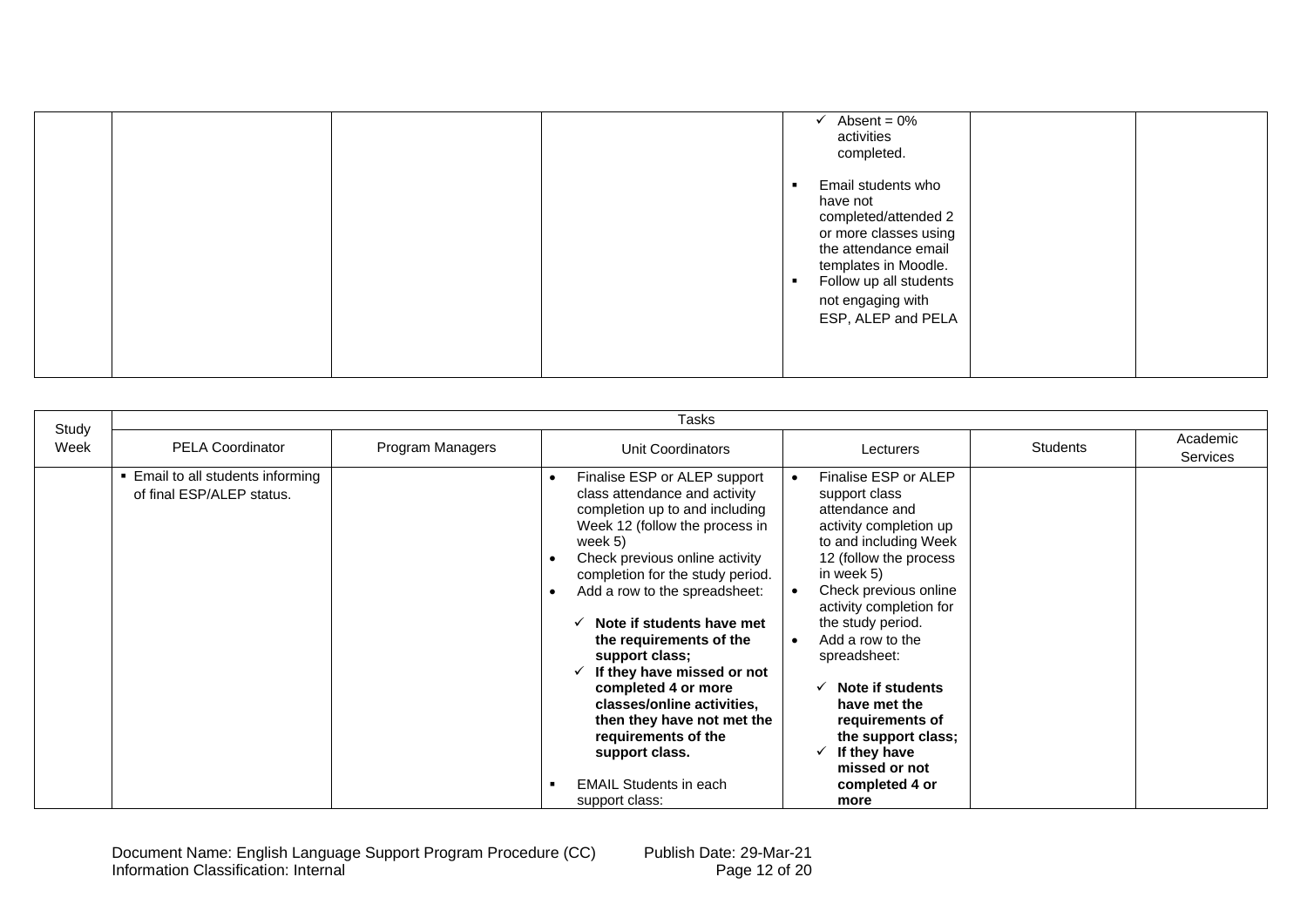|  | Absent = $0\%$<br>activities<br>completed.                                                                                                                                                           |
|--|------------------------------------------------------------------------------------------------------------------------------------------------------------------------------------------------------|
|  | Email students who<br>have not<br>completed/attended 2<br>or more classes using<br>the attendance email<br>templates in Moodle.<br>Follow up all students<br>not engaging with<br>ESP, ALEP and PELA |

|               | Tasks                                                        |                  |                                                                                                                                                                                                                                                                                                                                                                                                                                                                                                                          |                                                                                                                                                                                                                                                                                                                                                                                                      |                 |                             |  |  |  |
|---------------|--------------------------------------------------------------|------------------|--------------------------------------------------------------------------------------------------------------------------------------------------------------------------------------------------------------------------------------------------------------------------------------------------------------------------------------------------------------------------------------------------------------------------------------------------------------------------------------------------------------------------|------------------------------------------------------------------------------------------------------------------------------------------------------------------------------------------------------------------------------------------------------------------------------------------------------------------------------------------------------------------------------------------------------|-----------------|-----------------------------|--|--|--|
| Study<br>Week | <b>PELA Coordinator</b>                                      | Program Managers | Unit Coordinators                                                                                                                                                                                                                                                                                                                                                                                                                                                                                                        | Lecturers                                                                                                                                                                                                                                                                                                                                                                                            | <b>Students</b> | Academic<br><b>Services</b> |  |  |  |
|               | Email to all students informing<br>of final ESP/ALEP status. |                  | Finalise ESP or ALEP support<br>class attendance and activity<br>completion up to and including<br>Week 12 (follow the process in<br>week 5)<br>Check previous online activity<br>completion for the study period.<br>Add a row to the spreadsheet:<br>Note if students have met<br>the requirements of the<br>support class;<br>If they have missed or not<br>completed 4 or more<br>classes/online activities,<br>then they have not met the<br>requirements of the<br>support class.<br><b>EMAIL Students in each</b> | Finalise ESP or ALEP<br>support class<br>attendance and<br>activity completion up<br>to and including Week<br>12 (follow the process<br>in week 5)<br>Check previous online<br>activity completion for<br>the study period.<br>Add a row to the<br>spreadsheet:<br>Note if students<br>have met the<br>requirements of<br>the support class;<br>If they have<br>✓<br>missed or not<br>completed 4 or |                 |                             |  |  |  |
|               |                                                              |                  | support class:                                                                                                                                                                                                                                                                                                                                                                                                                                                                                                           | more                                                                                                                                                                                                                                                                                                                                                                                                 |                 |                             |  |  |  |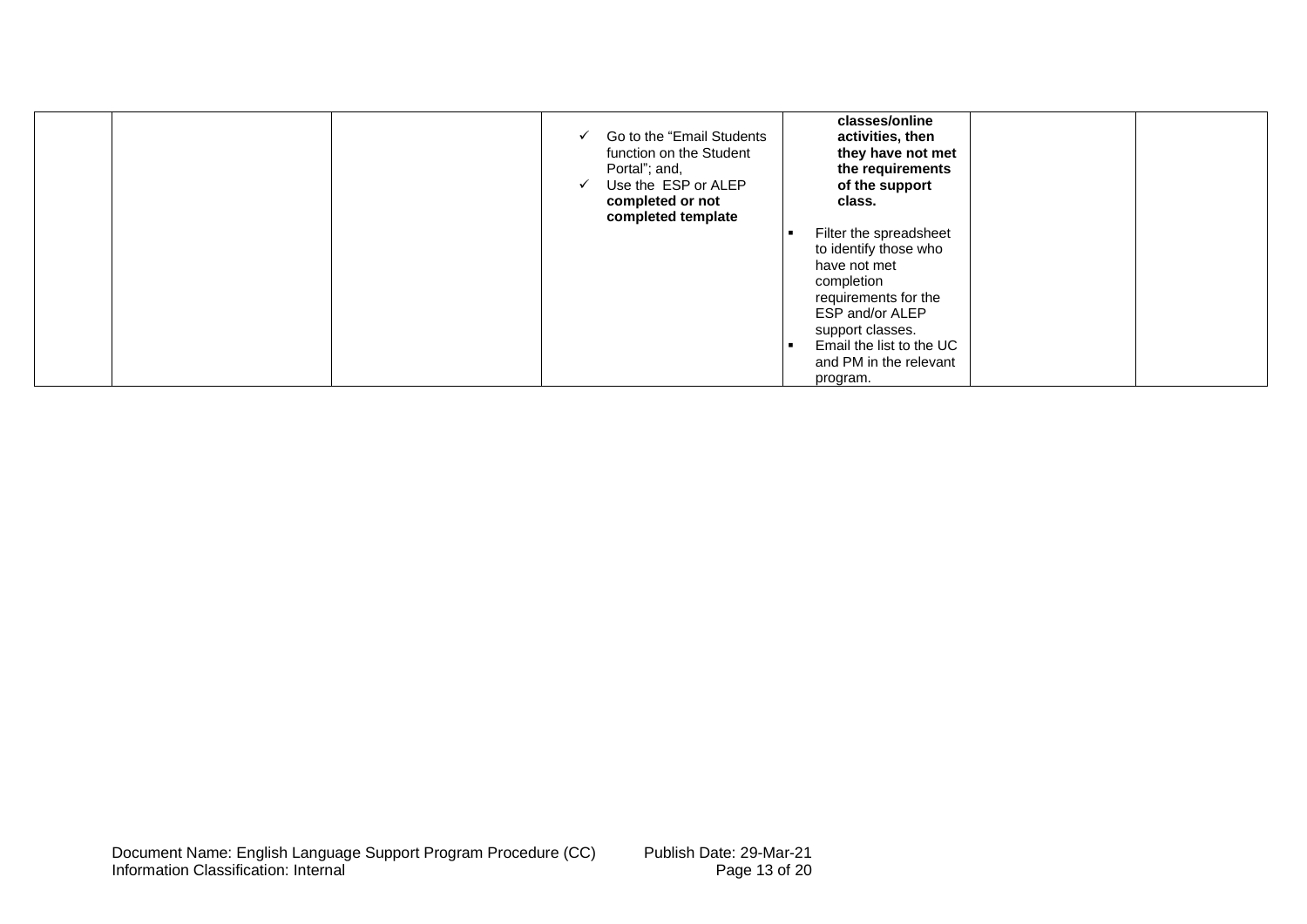| Go to the "Email Students<br>$\checkmark$<br>function on the Student<br>Portal"; and,<br>Use the ESP or ALEP<br>completed or not<br>completed template | classes/online<br>activities, then<br>they have not met<br>the requirements<br>of the support<br>class.                                                                                                        |
|--------------------------------------------------------------------------------------------------------------------------------------------------------|----------------------------------------------------------------------------------------------------------------------------------------------------------------------------------------------------------------|
|                                                                                                                                                        | Filter the spreadsheet<br>to identify those who<br>have not met<br>completion<br>requirements for the<br>ESP and/or ALEP<br>support classes.<br>Email the list to the UC<br>and PM in the relevant<br>program. |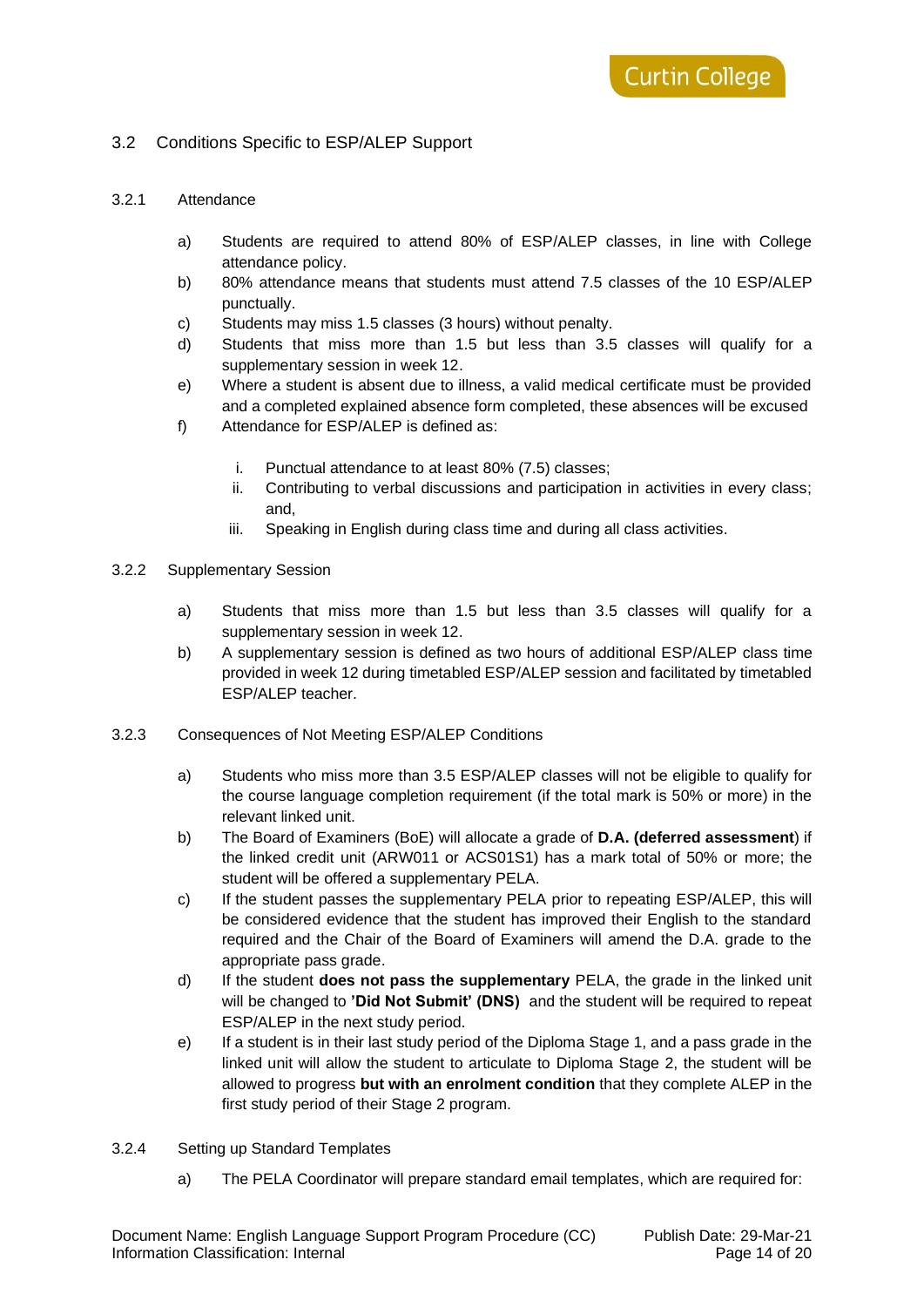#### <span id="page-13-0"></span>3.2 Conditions Specific to ESP/ALEP Support

#### <span id="page-13-1"></span>3.2.1 Attendance

- a) Students are required to attend 80% of ESP/ALEP classes, in line with College attendance policy.
- b) 80% attendance means that students must attend 7.5 classes of the 10 ESP/ALEP punctually.
- c) Students may miss 1.5 classes (3 hours) without penalty.
- d) Students that miss more than 1.5 but less than 3.5 classes will qualify for a supplementary session in week 12.
- e) Where a student is absent due to illness, a valid medical certificate must be provided and a completed explained absence form completed, these absences will be excused
- f) Attendance for ESP/ALEP is defined as:
	- i. Punctual attendance to at least 80% (7.5) classes;
	- ii. Contributing to verbal discussions and participation in activities in every class; and,
	- iii. Speaking in English during class time and during all class activities.

#### <span id="page-13-2"></span>3.2.2 Supplementary Session

- a) Students that miss more than 1.5 but less than 3.5 classes will qualify for a supplementary session in week 12.
- b) A supplementary session is defined as two hours of additional ESP/ALEP class time provided in week 12 during timetabled ESP/ALEP session and facilitated by timetabled ESP/ALEP teacher.
- <span id="page-13-3"></span>3.2.3 Consequences of Not Meeting ESP/ALEP Conditions
	- a) Students who miss more than 3.5 ESP/ALEP classes will not be eligible to qualify for the course language completion requirement (if the total mark is 50% or more) in the relevant linked unit.
	- b) The Board of Examiners (BoE) will allocate a grade of **D.A. (deferred assessment**) if the linked credit unit (ARW011 or ACS01S1) has a mark total of 50% or more; the student will be offered a supplementary PELA.
	- c) If the student passes the supplementary PELA prior to repeating ESP/ALEP, this will be considered evidence that the student has improved their English to the standard required and the Chair of the Board of Examiners will amend the D.A. grade to the appropriate pass grade.
	- d) If the student **does not pass the supplementary** PELA, the grade in the linked unit will be changed to **'Did Not Submit' (DNS)** and the student will be required to repeat ESP/ALEP in the next study period.
	- e) If a student is in their last study period of the Diploma Stage 1, and a pass grade in the linked unit will allow the student to articulate to Diploma Stage 2, the student will be allowed to progress **but with an enrolment condition** that they complete ALEP in the first study period of their Stage 2 program.

#### <span id="page-13-4"></span>3.2.4 Setting up Standard Templates

a) The PELA Coordinator will prepare standard email templates, which are required for: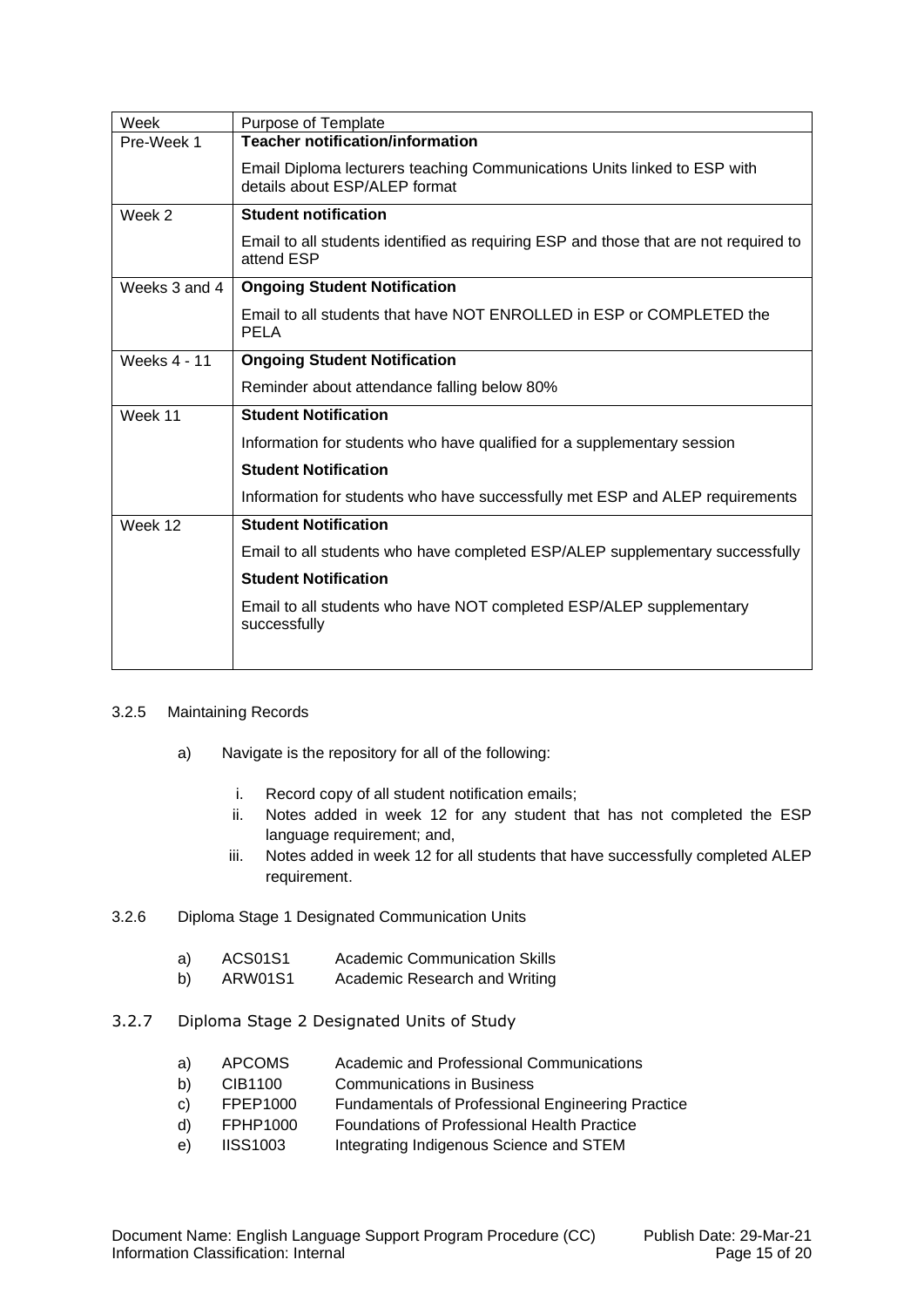| Week                | Purpose of Template                                                                                       |
|---------------------|-----------------------------------------------------------------------------------------------------------|
| Pre-Week 1          | <b>Teacher notification/information</b>                                                                   |
|                     | Email Diploma lecturers teaching Communications Units linked to ESP with<br>details about ESP/ALEP format |
| Week 2              | <b>Student notification</b>                                                                               |
|                     | Email to all students identified as requiring ESP and those that are not required to<br>attend ESP        |
| Weeks 3 and 4       | <b>Ongoing Student Notification</b>                                                                       |
|                     | Email to all students that have NOT ENROLLED in ESP or COMPLETED the<br><b>PELA</b>                       |
| <b>Weeks 4 - 11</b> | <b>Ongoing Student Notification</b>                                                                       |
|                     | Reminder about attendance falling below 80%                                                               |
| Week 11             | <b>Student Notification</b>                                                                               |
|                     | Information for students who have qualified for a supplementary session                                   |
|                     | <b>Student Notification</b>                                                                               |
|                     | Information for students who have successfully met ESP and ALEP requirements                              |
| Week 12             | <b>Student Notification</b>                                                                               |
|                     | Email to all students who have completed ESP/ALEP supplementary successfully                              |
|                     | <b>Student Notification</b>                                                                               |
|                     | Email to all students who have NOT completed ESP/ALEP supplementary<br>successfully                       |
|                     |                                                                                                           |

#### <span id="page-14-0"></span>3.2.5 Maintaining Records

- a) Navigate is the repository for all of the following:
	- i. Record copy of all student notification emails;
	- ii. Notes added in week 12 for any student that has not completed the ESP language requirement; and,
	- iii. Notes added in week 12 for all students that have successfully completed ALEP requirement.

#### <span id="page-14-1"></span>3.2.6 Diploma Stage 1 Designated Communication Units

- a) ACS01S1 Academic Communication Skills
- b) ARW01S1 Academic Research and Writing

#### <span id="page-14-2"></span>3.2.7 Diploma Stage 2 Designated Units of Study

- a) APCOMS Academic and Professional Communications
- b) CIB1100 Communications in Business
- c) FPEP1000 Fundamentals of Professional Engineering Practice
- d) FPHP1000 Foundations of Professional Health Practice
- e) IISS1003 Integrating Indigenous Science and STEM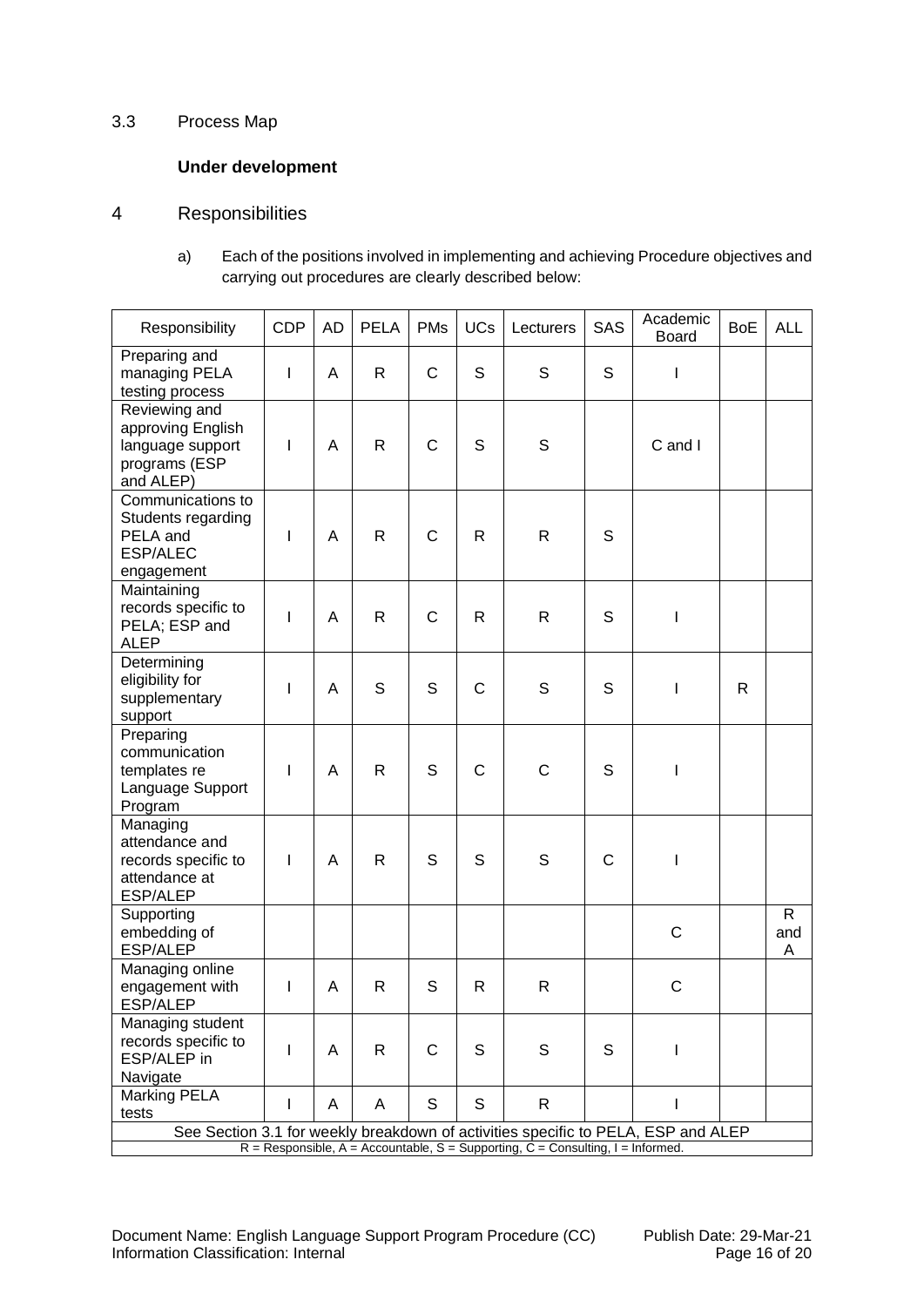#### <span id="page-15-0"></span>3.3 Process Map

# **Under development**

# <span id="page-15-1"></span>4 Responsibilities

a) Each of the positions involved in implementing and achieving Procedure objectives and carrying out procedures are clearly described below:

| Responsibility                                                                                                                                                         | <b>CDP</b>   | AD | <b>PELA</b>  | <b>PMs</b>   | <b>UCs</b>   | Lecturers   | SAS          | Academic<br><b>Board</b> | <b>BoE</b> | <b>ALL</b>               |
|------------------------------------------------------------------------------------------------------------------------------------------------------------------------|--------------|----|--------------|--------------|--------------|-------------|--------------|--------------------------|------------|--------------------------|
| Preparing and<br>managing PELA<br>testing process                                                                                                                      | I            | A  | R            | C            | S            | S           | S            | L                        |            |                          |
| Reviewing and<br>approving English<br>language support<br>programs (ESP<br>and ALEP)                                                                                   | I            | A  | R            | $\mathsf{C}$ | S            | S           |              | C and I                  |            |                          |
| Communications to<br>Students regarding<br>PELA and<br><b>ESP/ALEC</b><br>engagement                                                                                   | I            | Α  | $\mathsf{R}$ | C            | R            | R           | S            |                          |            |                          |
| Maintaining<br>records specific to<br>PELA; ESP and<br><b>ALEP</b>                                                                                                     | $\mathbf{I}$ | Α  | $\mathsf{R}$ | C            | R            | R           | S            | I                        |            |                          |
| Determining<br>eligibility for<br>supplementary<br>support                                                                                                             | I            | Α  | S            | S            | $\mathsf{C}$ | $\mathbf S$ | S            | T                        | R          |                          |
| Preparing<br>communication<br>templates re<br>Language Support<br>Program                                                                                              | $\mathbf{I}$ | Α  | $\mathsf{R}$ | S            | $\mathsf C$  | $\mathsf C$ | S            | $\overline{\phantom{a}}$ |            |                          |
| Managing<br>attendance and<br>records specific to<br>attendance at<br><b>ESP/ALEP</b>                                                                                  | L            | A  | R            | S            | S            | S           | $\mathsf{C}$ | $\mathsf I$              |            |                          |
| Supporting<br>embedding of<br><b>ESP/ALEP</b>                                                                                                                          |              |    |              |              |              |             |              | C                        |            | $\mathsf{R}$<br>and<br>Α |
| Managing online<br>engagement with<br>ESP/ALEP                                                                                                                         | $\mathsf{I}$ | Α  | R            | S            | R            | R           |              | $\mathsf C$              |            |                          |
| Managing student<br>records specific to<br>ESP/ALEP in<br>Navigate                                                                                                     | L            | A  | $\mathsf{R}$ | $\mathsf{C}$ | S            | S           | S            | L                        |            |                          |
| Marking PELA<br>tests                                                                                                                                                  | L            | A  | A            | S            | S            | R.          |              | $\mathbf{I}$             |            |                          |
| See Section 3.1 for weekly breakdown of activities specific to PELA, ESP and ALEP<br>$R =$ Responsible, A = Accountable, S = Supporting, C = Consulting, I = Informed. |              |    |              |              |              |             |              |                          |            |                          |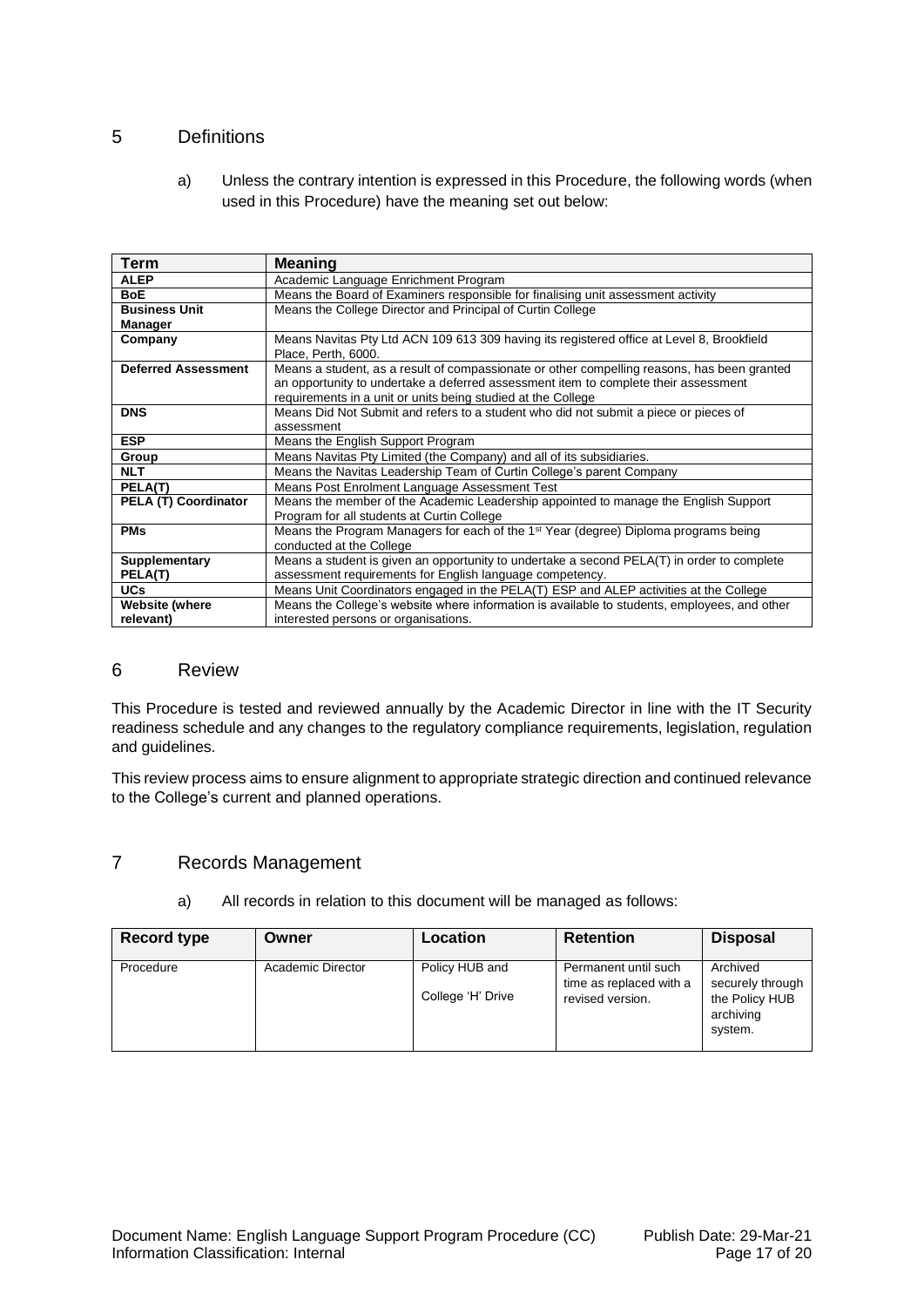#### <span id="page-16-0"></span>5 Definitions

a) Unless the contrary intention is expressed in this Procedure, the following words (when used in this Procedure) have the meaning set out below:

| <b>Term</b>                | <b>Meaning</b>                                                                                  |  |  |  |  |
|----------------------------|-------------------------------------------------------------------------------------------------|--|--|--|--|
| <b>ALEP</b>                | Academic Language Enrichment Program                                                            |  |  |  |  |
| <b>BoE</b>                 | Means the Board of Examiners responsible for finalising unit assessment activity                |  |  |  |  |
| <b>Business Unit</b>       | Means the College Director and Principal of Curtin College                                      |  |  |  |  |
| Manager                    |                                                                                                 |  |  |  |  |
| Company                    | Means Navitas Pty Ltd ACN 109 613 309 having its registered office at Level 8, Brookfield       |  |  |  |  |
|                            | Place, Perth, 6000.                                                                             |  |  |  |  |
| <b>Deferred Assessment</b> | Means a student, as a result of compassionate or other compelling reasons, has been granted     |  |  |  |  |
|                            | an opportunity to undertake a deferred assessment item to complete their assessment             |  |  |  |  |
|                            | requirements in a unit or units being studied at the College                                    |  |  |  |  |
| <b>DNS</b>                 | Means Did Not Submit and refers to a student who did not submit a piece or pieces of            |  |  |  |  |
|                            | assessment                                                                                      |  |  |  |  |
| <b>ESP</b>                 | Means the English Support Program                                                               |  |  |  |  |
| Group                      | Means Navitas Pty Limited (the Company) and all of its subsidiaries.                            |  |  |  |  |
| <b>NLT</b>                 | Means the Navitas Leadership Team of Curtin College's parent Company                            |  |  |  |  |
| PELA(T)                    | Means Post Enrolment Language Assessment Test                                                   |  |  |  |  |
| PELA (T) Coordinator       | Means the member of the Academic Leadership appointed to manage the English Support             |  |  |  |  |
|                            | Program for all students at Curtin College                                                      |  |  |  |  |
| <b>PMs</b>                 | Means the Program Managers for each of the 1 <sup>st</sup> Year (degree) Diploma programs being |  |  |  |  |
|                            | conducted at the College                                                                        |  |  |  |  |
| Supplementary              | Means a student is given an opportunity to undertake a second PELA(T) in order to complete      |  |  |  |  |
| PELA(T)                    | assessment requirements for English language competency.                                        |  |  |  |  |
| <b>UCs</b>                 | Means Unit Coordinators engaged in the PELA(T) ESP and ALEP activities at the College           |  |  |  |  |
| Website (where             | Means the College's website where information is available to students, employees, and other    |  |  |  |  |
| relevant)                  | interested persons or organisations.                                                            |  |  |  |  |

#### <span id="page-16-1"></span>6 Review

This Procedure is tested and reviewed annually by the Academic Director in line with the IT Security readiness schedule and any changes to the regulatory compliance requirements, legislation, regulation and guidelines.

This review process aims to ensure alignment to appropriate strategic direction and continued relevance to the College's current and planned operations.

#### <span id="page-16-2"></span>7 Records Management

| <b>Record type</b> | Owner             | Location          | <b>Retention</b>        | <b>Disposal</b>  |
|--------------------|-------------------|-------------------|-------------------------|------------------|
|                    |                   |                   |                         |                  |
| Procedure          | Academic Director | Policy HUB and    | Permanent until such    | Archived         |
|                    |                   |                   | time as replaced with a | securely through |
|                    |                   | College 'H' Drive | revised version.        | the Policy HUB   |
|                    |                   |                   |                         | archiving        |
|                    |                   |                   |                         |                  |
|                    |                   |                   |                         | system.          |

a) All records in relation to this document will be managed as follows: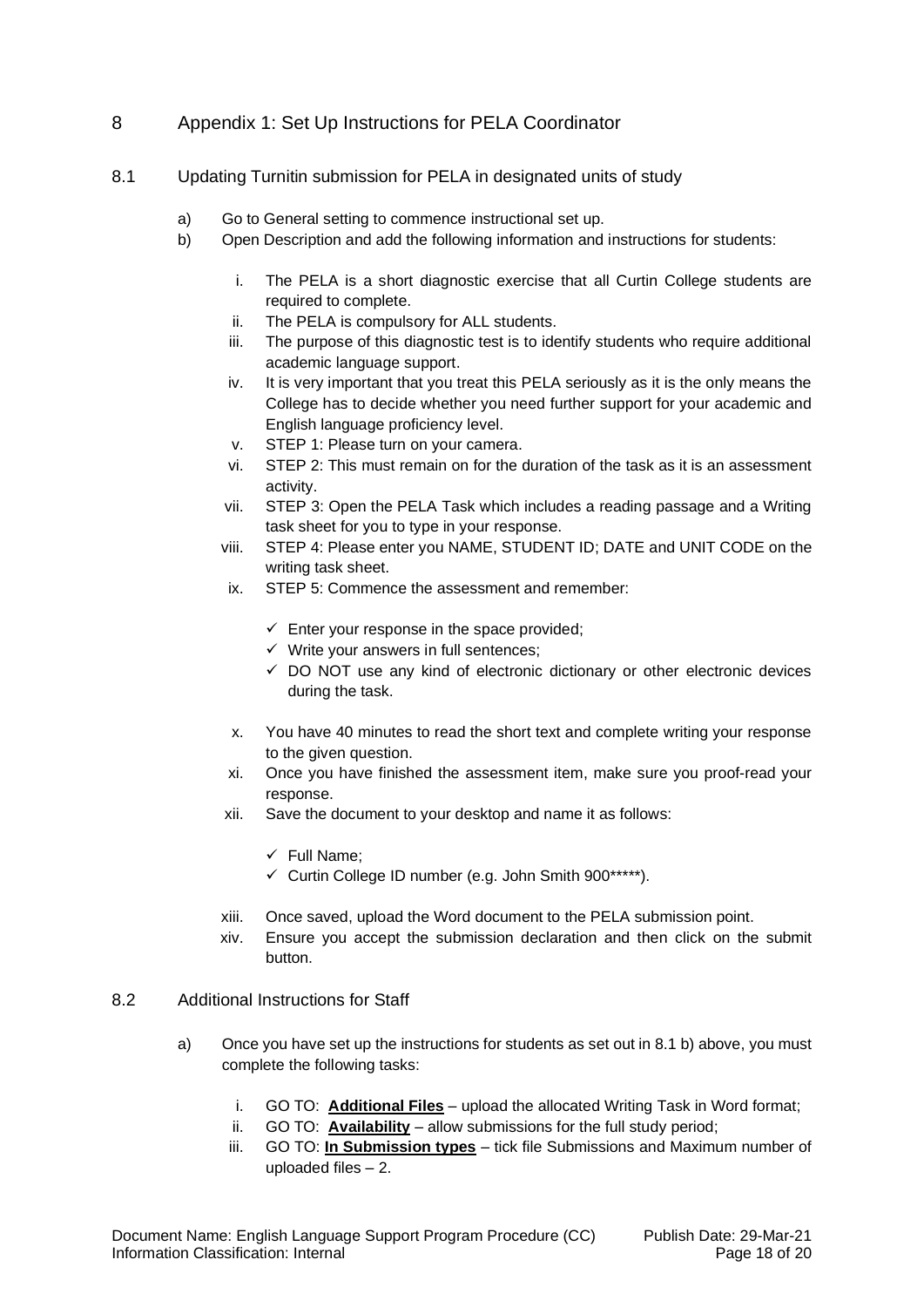# <span id="page-17-0"></span>8 Appendix 1: Set Up Instructions for PELA Coordinator

- <span id="page-17-1"></span>8.1 Updating Turnitin submission for PELA in designated units of study
	- a) Go to General setting to commence instructional set up.
	- b) Open Description and add the following information and instructions for students:
		- i. The PELA is a short diagnostic exercise that all Curtin College students are required to complete.
		- ii. The PELA is compulsory for ALL students.
		- iii. The purpose of this diagnostic test is to identify students who require additional academic language support.
		- iv. It is very important that you treat this PELA seriously as it is the only means the College has to decide whether you need further support for your academic and English language proficiency level.
		- v. STEP 1: Please turn on your camera.
		- vi. STEP 2: This must remain on for the duration of the task as it is an assessment activity.
		- vii. STEP 3: Open the PELA Task which includes a reading passage and a Writing task sheet for you to type in your response.
		- viii. STEP 4: Please enter you NAME, STUDENT ID; DATE and UNIT CODE on the writing task sheet.
		- ix. STEP 5: Commence the assessment and remember:
			- $\checkmark$  Enter your response in the space provided;
			- $\checkmark$  Write your answers in full sentences:
			- ✓ DO NOT use any kind of electronic dictionary or other electronic devices during the task.
		- x. You have 40 minutes to read the short text and complete writing your response to the given question.
		- xi. Once you have finished the assessment item, make sure you proof-read your response.
		- xii. Save the document to your desktop and name it as follows:
			- ✓ Full Name;
			- ✓ Curtin College ID number (e.g. John Smith 900\*\*\*\*\*).
		- xiii. Once saved, upload the Word document to the PELA submission point.
		- xiv. Ensure you accept the submission declaration and then click on the submit button.

#### <span id="page-17-2"></span>8.2 Additional Instructions for Staff

- a) Once you have set up the instructions for students as set out in 8.1 b) above, you must complete the following tasks:
	- i. GO TO: **Additional Files** upload the allocated Writing Task in Word format;
	- ii. GO TO: **Availability** allow submissions for the full study period;
	- iii. GO TO: **In Submission types** tick file Submissions and Maximum number of uploaded files – 2.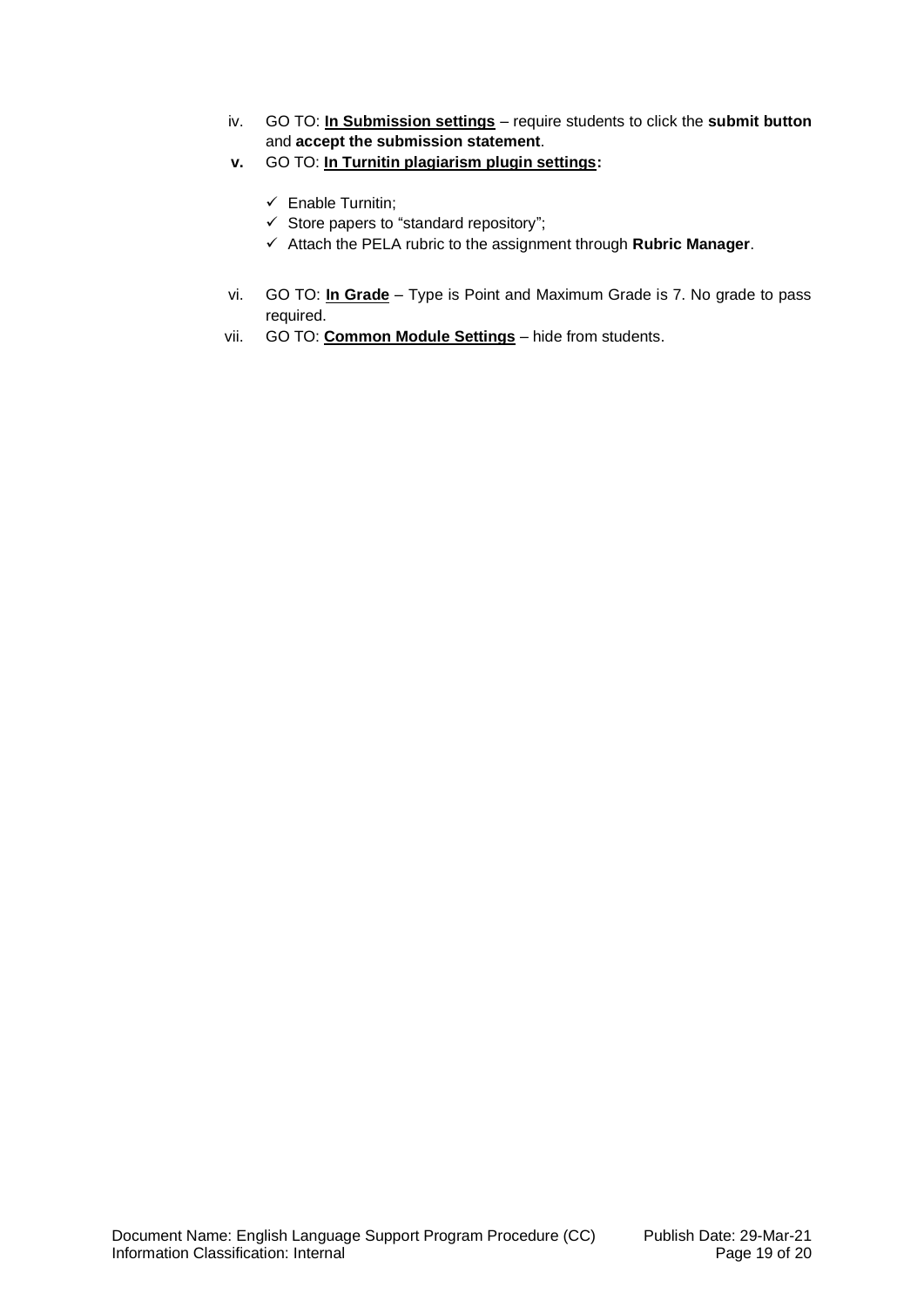- iv. GO TO: **In Submission settings** require students to click the **submit button** and **accept the submission statement**.
- **v.** GO TO: **In Turnitin plagiarism plugin settings:**
	- ✓ Enable Turnitin;
	- $\checkmark$  Store papers to "standard repository";
	- ✓ Attach the PELA rubric to the assignment through **Rubric Manager**.
- vi. GO TO: **In Grade** Type is Point and Maximum Grade is 7. No grade to pass required.
- vii. GO TO: **Common Module Settings** hide from students.